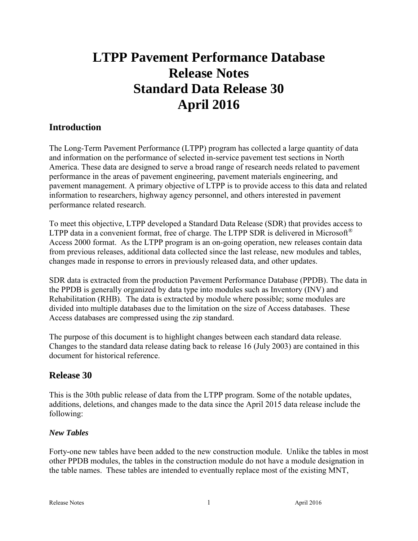# **LTPP Pavement Performance Database Release Notes Standard Data Release 30 April 2016**

# **Introduction**

The Long-Term Pavement Performance (LTPP) program has collected a large quantity of data and information on the performance of selected in-service pavement test sections in North America. These data are designed to serve a broad range of research needs related to pavement performance in the areas of pavement engineering, pavement materials engineering, and pavement management. A primary objective of LTPP is to provide access to this data and related information to researchers, highway agency personnel, and others interested in pavement performance related research.

To meet this objective, LTPP developed a Standard Data Release (SDR) that provides access to LTPP data in a convenient format, free of charge. The LTPP SDR is delivered in Microsoft<sup>®</sup> Access 2000 format. As the LTPP program is an on-going operation, new releases contain data from previous releases, additional data collected since the last release, new modules and tables, changes made in response to errors in previously released data, and other updates.

SDR data is extracted from the production Pavement Performance Database (PPDB). The data in the PPDB is generally organized by data type into modules such as Inventory (INV) and Rehabilitation (RHB). The data is extracted by module where possible; some modules are divided into multiple databases due to the limitation on the size of Access databases. These Access databases are compressed using the zip standard.

The purpose of this document is to highlight changes between each standard data release. Changes to the standard data release dating back to release 16 (July 2003) are contained in this document for historical reference.

# **Release 30**

This is the 30th public release of data from the LTPP program. Some of the notable updates, additions, deletions, and changes made to the data since the April 2015 data release include the following:

### *New Tables*

Forty-one new tables have been added to the new construction module. Unlike the tables in most other PPDB modules, the tables in the construction module do not have a module designation in the table names. These tables are intended to eventually replace most of the existing MNT,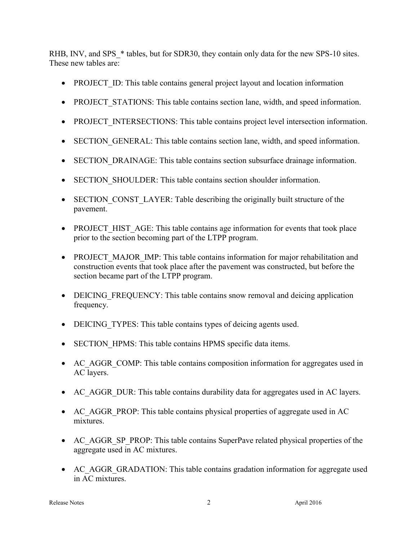RHB, INV, and SPS  $*$  tables, but for SDR30, they contain only data for the new SPS-10 sites. These new tables are:

- PROJECT ID: This table contains general project layout and location information
- PROJECT STATIONS: This table contains section lane, width, and speed information.
- PROJECT INTERSECTIONS: This table contains project level intersection information.
- SECTION GENERAL: This table contains section lane, width, and speed information.
- SECTION DRAINAGE: This table contains section subsurface drainage information.
- SECTION SHOULDER: This table contains section shoulder information.
- SECTION CONST LAYER: Table describing the originally built structure of the pavement.
- PROJECT HIST AGE: This table contains age information for events that took place prior to the section becoming part of the LTPP program.
- PROJECT MAJOR IMP: This table contains information for major rehabilitation and construction events that took place after the pavement was constructed, but before the section became part of the LTPP program.
- DEICING FREQUENCY: This table contains snow removal and deicing application frequency.
- DEICING TYPES: This table contains types of deicing agents used.
- SECTION HPMS: This table contains HPMS specific data items.
- AC AGGR COMP: This table contains composition information for aggregates used in AC layers.
- AC AGGR DUR: This table contains durability data for aggregates used in AC layers.
- AC AGGR PROP: This table contains physical properties of aggregate used in AC mixtures.
- AC\_AGGR\_SP\_PROP: This table contains SuperPave related physical properties of the aggregate used in AC mixtures.
- AC AGGR GRADATION: This table contains gradation information for aggregate used in AC mixtures.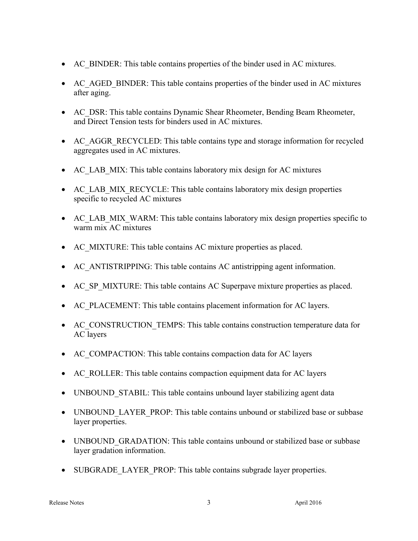- AC\_BINDER: This table contains properties of the binder used in AC mixtures.
- AC\_AGED\_BINDER: This table contains properties of the binder used in AC mixtures after aging.
- AC DSR: This table contains Dynamic Shear Rheometer, Bending Beam Rheometer, and Direct Tension tests for binders used in AC mixtures.
- AC AGGR RECYCLED: This table contains type and storage information for recycled aggregates used in AC mixtures.
- AC\_LAB\_MIX: This table contains laboratory mix design for AC mixtures
- AC\_LAB\_MIX\_RECYCLE: This table contains laboratory mix design properties specific to recycled AC mixtures
- AC\_LAB\_MIX\_WARM: This table contains laboratory mix design properties specific to warm mix AC mixtures
- AC MIXTURE: This table contains AC mixture properties as placed.
- AC ANTISTRIPPING: This table contains AC antistripping agent information.
- AC\_SP\_MIXTURE: This table contains AC Superpave mixture properties as placed.
- AC\_PLACEMENT: This table contains placement information for AC layers.
- AC CONSTRUCTION TEMPS: This table contains construction temperature data for AC layers
- AC\_COMPACTION: This table contains compaction data for AC layers
- AC\_ROLLER: This table contains compaction equipment data for AC layers
- UNBOUND STABIL: This table contains unbound layer stabilizing agent data
- UNBOUND LAYER PROP: This table contains unbound or stabilized base or subbase layer properties.
- UNBOUND GRADATION: This table contains unbound or stabilized base or subbase layer gradation information.
- SUBGRADE\_LAYER\_PROP: This table contains subgrade layer properties.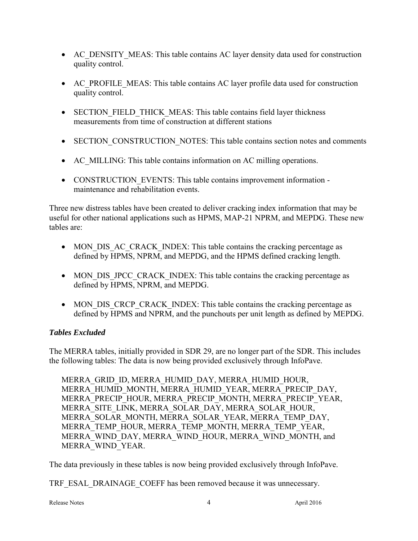- AC DENSITY MEAS: This table contains AC layer density data used for construction quality control.
- AC PROFILE MEAS: This table contains AC layer profile data used for construction quality control.
- SECTION FIELD THICK MEAS: This table contains field layer thickness measurements from time of construction at different stations
- SECTION CONSTRUCTION NOTES: This table contains section notes and comments
- AC MILLING: This table contains information on AC milling operations.
- CONSTRUCTION EVENTS: This table contains improvement information maintenance and rehabilitation events.

Three new distress tables have been created to deliver cracking index information that may be useful for other national applications such as HPMS, MAP-21 NPRM, and MEPDG. These new tables are:

- MON DIS AC CRACK INDEX: This table contains the cracking percentage as defined by HPMS, NPRM, and MEPDG, and the HPMS defined cracking length.
- MON DIS JPCC CRACK INDEX: This table contains the cracking percentage as defined by HPMS, NPRM, and MEPDG.
- MON DIS CRCP CRACK INDEX: This table contains the cracking percentage as defined by HPMS and NPRM, and the punchouts per unit length as defined by MEPDG.

### *Tables Excluded*

The MERRA tables, initially provided in SDR 29, are no longer part of the SDR. This includes the following tables: The data is now being provided exclusively through InfoPave.

MERRA\_GRID\_ID, MERRA\_HUMID\_DAY, MERRA\_HUMID\_HOUR, MERRA\_HUMID\_MONTH, MERRA\_HUMID\_YEAR, MERRA\_PRECIP\_DAY, MERRA\_PRECIP\_HOUR, MERRA\_PRECIP\_MONTH, MERRA\_PRECIP\_YEAR, MERRA\_SITE\_LINK, MERRA\_SOLAR\_DAY, MERRA\_SOLAR\_HOUR, MERRA\_SOLAR\_MONTH, MERRA\_SOLAR\_YEAR, MERRA\_TEMP\_DAY, MERRA\_TEMP\_HOUR, MERRA\_TEMP\_MONTH, MERRA\_TEMP\_YEAR, MERRA\_WIND\_DAY, MERRA\_WIND\_HOUR, MERRA\_WIND\_MONTH, and MERRA\_WIND\_YEAR.

The data previously in these tables is now being provided exclusively through InfoPave.

TRF\_ESAL\_DRAINAGE\_COEFF has been removed because it was unnecessary.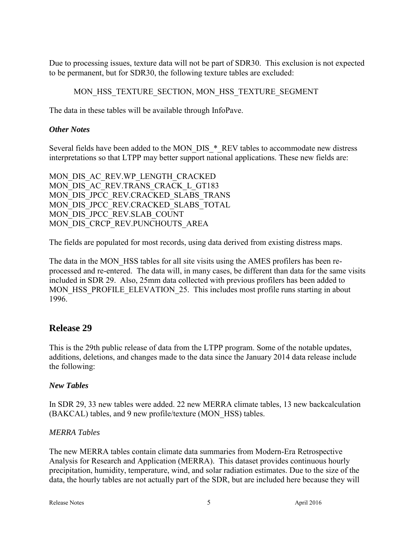Due to processing issues, texture data will not be part of SDR30. This exclusion is not expected to be permanent, but for SDR30, the following texture tables are excluded:

MON HSS TEXTURE SECTION, MON HSS TEXTURE SEGMENT

The data in these tables will be available through InfoPave.

### *Other Notes*

Several fields have been added to the MON\_DIS\_\*\_REV tables to accommodate new distress interpretations so that LTPP may better support national applications. These new fields are:

MON DIS AC REV.WP LENGTH CRACKED MON\_DIS\_AC\_REV.TRANS\_CRACK\_L\_GT183 MON\_DIS\_JPCC\_REV.CRACKED\_SLABS\_TRANS MON\_DIS\_JPCC\_REV.CRACKED\_SLABS\_TOTAL MON\_DIS\_JPCC\_REV.SLAB\_COUNT MON\_DIS\_CRCP\_REV.PUNCHOUTS\_AREA

The fields are populated for most records, using data derived from existing distress maps.

The data in the MON\_HSS tables for all site visits using the AMES profilers has been reprocessed and re-entered. The data will, in many cases, be different than data for the same visits included in SDR 29. Also, 25mm data collected with previous profilers has been added to MON HSS PROFILE ELEVATION 25. This includes most profile runs starting in about 1996.

# **Release 29**

This is the 29th public release of data from the LTPP program. Some of the notable updates, additions, deletions, and changes made to the data since the January 2014 data release include the following:

### *New Tables*

In SDR 29, 33 new tables were added. 22 new MERRA climate tables, 13 new backcalculation (BAKCAL) tables, and 9 new profile/texture (MON\_HSS) tables.

### *MERRA Tables*

The new MERRA tables contain climate data summaries from Modern-Era Retrospective Analysis for Research and Application (MERRA). This dataset provides continuous hourly precipitation, humidity, temperature, wind, and solar radiation estimates. Due to the size of the data, the hourly tables are not actually part of the SDR, but are included here because they will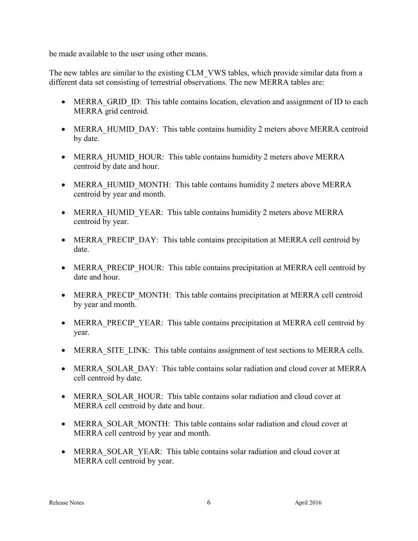be made available to the user using other means.

The new tables are similar to the existing CLM VWS tables, which provide similar data from a different data set consisting of terrestrial observations. The new MERRA tables are:

- MERRA GRID ID: This table contains location, elevation and assignment of ID to each MERRA grid centroid.
- MERRA HUMID DAY: This table contains humidity 2 meters above MERRA centroid by date.
- MERRA HUMID HOUR: This table contains humidity 2 meters above MERRA centroid by date and hour.
- MERRA HUMID MONTH: This table contains humidity 2 meters above MERRA centroid by year and month.
- MERRA HUMID YEAR: This table contains humidity 2 meters above MERRA centroid by year.
- MERRA PRECIP DAY: This table contains precipitation at MERRA cell centroid by date.
- MERRA PRECIP HOUR: This table contains precipitation at MERRA cell centroid by date and hour.
- MERRA PRECIP MONTH: This table contains precipitation at MERRA cell centroid by year and month.
- MERRA PRECIP YEAR: This table contains precipitation at MERRA cell centroid by year.
- MERRA SITE LINK: This table contains assignment of test sections to MERRA cells.
- MERRA SOLAR DAY: This table contains solar radiation and cloud cover at MERRA cell centroid by date.
- MERRA SOLAR HOUR: This table contains solar radiation and cloud cover at MERRA cell centroid by date and hour.
- MERRA SOLAR MONTH: This table contains solar radiation and cloud cover at MERRA cell centroid by year and month.
- MERRA SOLAR YEAR: This table contains solar radiation and cloud cover at MERRA cell centroid by year.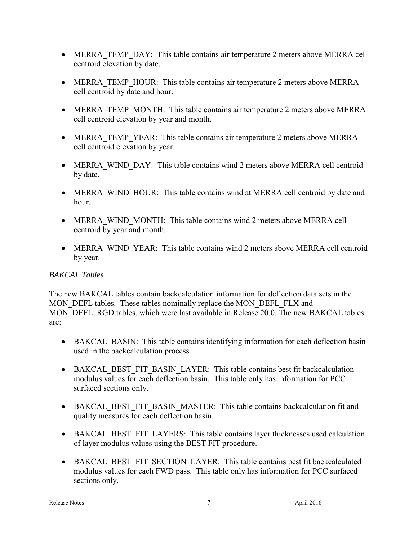- MERRA TEMP DAY: This table contains air temperature 2 meters above MERRA cell centroid elevation by date.
- MERRA TEMP HOUR: This table contains air temperature 2 meters above MERRA cell centroid by date and hour.
- MERRA TEMP MONTH: This table contains air temperature 2 meters above MERRA cell centroid elevation by year and month.
- MERRA TEMP YEAR: This table contains air temperature 2 meters above MERRA cell centroid elevation by year.
- MERRA WIND DAY: This table contains wind 2 meters above MERRA cell centroid by date.
- MERRA WIND HOUR: This table contains wind at MERRA cell centroid by date and hour.
- MERRA WIND MONTH: This table contains wind 2 meters above MERRA cell centroid by year and month.
- MERRA\_WIND\_YEAR: This table contains wind 2 meters above MERRA cell centroid by year.

### *BAKCAL Tables*

The new BAKCAL tables contain backcalculation information for deflection data sets in the MON DEFL tables. These tables nominally replace the MON DEFL FLX and MON\_DEFL\_RGD tables, which were last available in Release 20.0. The new BAKCAL tables are:

- BAKCAL BASIN: This table contains identifying information for each deflection basin used in the backcalculation process.
- BAKCAL BEST FIT BASIN LAYER: This table contains best fit backcalculation modulus values for each deflection basin. This table only has information for PCC surfaced sections only.
- BAKCAL\_BEST\_FIT\_BASIN\_MASTER: This table contains backcalculation fit and quality measures for each deflection basin.
- BAKCAL BEST FIT LAYERS: This table contains layer thicknesses used calculation of layer modulus values using the BEST FIT procedure.
- BAKCAL BEST FIT SECTION LAYER: This table contains best fit backcalculated modulus values for each FWD pass. This table only has information for PCC surfaced sections only.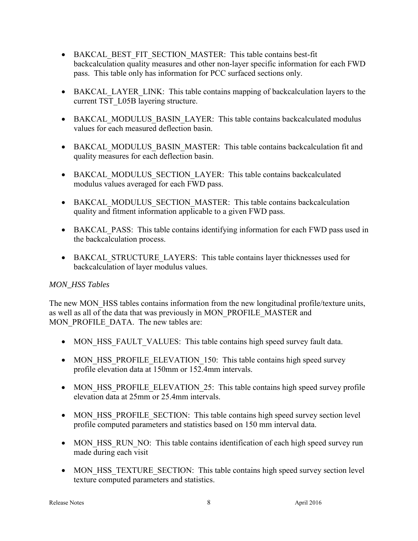- BAKCAL BEST FIT SECTION MASTER: This table contains best-fit backcalculation quality measures and other non-layer specific information for each FWD pass. This table only has information for PCC surfaced sections only.
- BAKCAL LAYER LINK: This table contains mapping of backcalculation layers to the current TST\_L05B layering structure.
- BAKCAL MODULUS BASIN LAYER: This table contains backcalculated modulus values for each measured deflection basin.
- BAKCAL\_MODULUS\_BASIN\_MASTER: This table contains backcalculation fit and quality measures for each deflection basin.
- BAKCAL MODULUS SECTION LAYER: This table contains backcalculated modulus values averaged for each FWD pass.
- BAKCAL MODULUS SECTION MASTER: This table contains backcalculation quality and fitment information applicable to a given FWD pass.
- BAKCAL PASS: This table contains identifying information for each FWD pass used in the backcalculation process.
- BAKCAL STRUCTURE LAYERS: This table contains layer thicknesses used for backcalculation of layer modulus values.

### *MON\_HSS Tables*

The new MON HSS tables contains information from the new longitudinal profile/texture units, as well as all of the data that was previously in MON\_PROFILE\_MASTER and MON\_PROFILE\_DATA. The new tables are:

- MON HSS FAULT VALUES: This table contains high speed survey fault data.
- MON HSS PROFILE ELEVATION 150: This table contains high speed survey profile elevation data at 150mm or 152.4mm intervals.
- MON HSS PROFILE ELEVATION 25: This table contains high speed survey profile elevation data at 25mm or 25.4mm intervals.
- MON HSS PROFILE SECTION: This table contains high speed survey section level profile computed parameters and statistics based on 150 mm interval data.
- MON HSS RUN NO: This table contains identification of each high speed survey run made during each visit
- MON HSS TEXTURE SECTION: This table contains high speed survey section level texture computed parameters and statistics.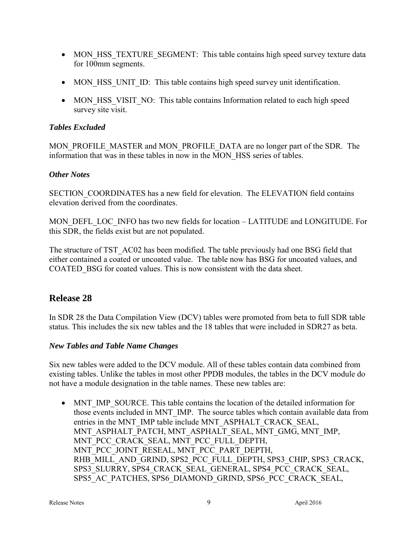- MON HSS TEXTURE SEGMENT: This table contains high speed survey texture data for 100mm segments.
- MON HSS UNIT ID: This table contains high speed survey unit identification.
- MON HSS VISIT NO: This table contains Information related to each high speed survey site visit.

### *Tables Excluded*

MON\_PROFILE\_MASTER and MON\_PROFILE\_DATA are no longer part of the SDR. The information that was in these tables in now in the MON\_HSS series of tables.

#### *Other Notes*

SECTION\_COORDINATES has a new field for elevation. The ELEVATION field contains elevation derived from the coordinates.

MON\_DEFL\_LOC\_INFO has two new fields for location – LATITUDE and LONGITUDE. For this SDR, the fields exist but are not populated.

The structure of TST\_AC02 has been modified. The table previously had one BSG field that either contained a coated or uncoated value. The table now has BSG for uncoated values, and COATED\_BSG for coated values. This is now consistent with the data sheet.

# **Release 28**

In SDR 28 the Data Compilation View (DCV) tables were promoted from beta to full SDR table status. This includes the six new tables and the 18 tables that were included in SDR27 as beta.

### *New Tables and Table Name Changes*

Six new tables were added to the DCV module. All of these tables contain data combined from existing tables. Unlike the tables in most other PPDB modules, the tables in the DCV module do not have a module designation in the table names. These new tables are:

• MNT IMP SOURCE. This table contains the location of the detailed information for those events included in MNT\_IMP. The source tables which contain available data from entries in the MNT\_IMP table include MNT\_ASPHALT\_CRACK\_SEAL, MNT\_ASPHALT\_PATCH, MNT\_ASPHALT\_SEAL, MNT\_GMG, MNT\_IMP, MNT\_PCC\_CRACK\_SEAL, MNT\_PCC\_FULL\_DEPTH, MNT\_PCC\_JOINT\_RESEAL, MNT\_PCC\_PART\_DEPTH, RHB\_MILL\_AND\_GRIND, SPS2\_PCC\_FULL\_DEPTH, SPS3\_CHIP, SPS3\_CRACK, SPS3\_SLURRY, SPS4\_CRACK\_SEAL\_GENERAL, SPS4\_PCC\_CRACK\_SEAL, SPS5\_AC\_PATCHES, SPS6\_DIAMOND\_GRIND, SPS6\_PCC\_CRACK\_SEAL,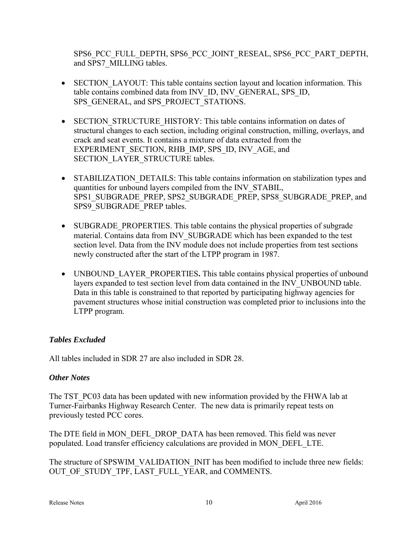SPS6\_PCC\_FULL\_DEPTH, SPS6\_PCC\_JOINT\_RESEAL, SPS6\_PCC\_PART\_DEPTH, and SPS7\_MILLING tables.

- SECTION LAYOUT: This table contains section layout and location information. This table contains combined data from INV\_ID, INV\_GENERAL, SPS\_ID, SPS\_GENERAL, and SPS\_PROJECT\_STATIONS.
- SECTION STRUCTURE HISTORY: This table contains information on dates of structural changes to each section, including original construction, milling, overlays, and crack and seat events. It contains a mixture of data extracted from the EXPERIMENT\_SECTION, RHB\_IMP, SPS\_ID, INV\_AGE, and SECTION\_LAYER\_STRUCTURE tables.
- STABILIZATION DETAILS: This table contains information on stabilization types and quantities for unbound layers compiled from the INV\_STABIL, SPS1\_SUBGRADE\_PREP, SPS2\_SUBGRADE\_PREP, SPS8\_SUBGRADE\_PREP, and SPS9\_SUBGRADE\_PREP tables.
- SUBGRADE PROPERTIES. This table contains the physical properties of subgrade material. Contains data from INV\_SUBGRADE which has been expanded to the test section level. Data from the INV module does not include properties from test sections newly constructed after the start of the LTPP program in 1987.
- UNBOUND LAYER PROPERTIES. This table contains physical properties of unbound layers expanded to test section level from data contained in the INV\_UNBOUND table. Data in this table is constrained to that reported by participating highway agencies for pavement structures whose initial construction was completed prior to inclusions into the LTPP program.

### *Tables Excluded*

All tables included in SDR 27 are also included in SDR 28.

# *Other Notes*

The TST PC03 data has been updated with new information provided by the FHWA lab at Turner-Fairbanks Highway Research Center. The new data is primarily repeat tests on previously tested PCC cores.

The DTE field in MON\_DEFL\_DROP\_DATA has been removed. This field was never populated. Load transfer efficiency calculations are provided in MON\_DEFL\_LTE.

The structure of SPSWIM\_VALIDATION\_INIT has been modified to include three new fields: OUT OF STUDY TPF, LAST FULL YEAR, and COMMENTS.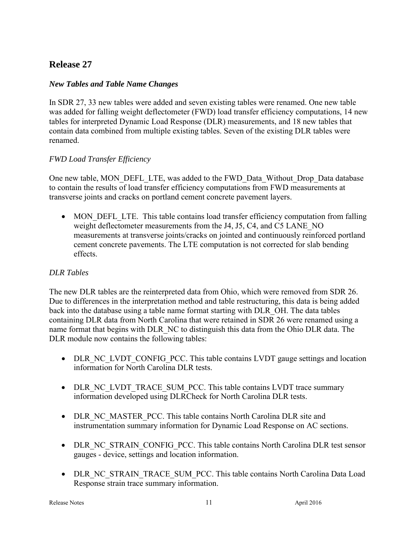# **Release 27**

### *New Tables and Table Name Changes*

In SDR 27, 33 new tables were added and seven existing tables were renamed. One new table was added for falling weight deflectometer (FWD) load transfer efficiency computations, 14 new tables for interpreted Dynamic Load Response (DLR) measurements, and 18 new tables that contain data combined from multiple existing tables. Seven of the existing DLR tables were renamed.

### *FWD Load Transfer Efficiency*

One new table, MON\_DEFL\_LTE, was added to the FWD\_Data\_Without\_Drop\_Data database to contain the results of load transfer efficiency computations from FWD measurements at transverse joints and cracks on portland cement concrete pavement layers.

• MON DEFL LTE. This table contains load transfer efficiency computation from falling weight deflectometer measurements from the J4, J5, C4, and C5 LANE NO measurements at transverse joints/cracks on jointed and continuously reinforced portland cement concrete pavements. The LTE computation is not corrected for slab bending effects.

### *DLR Tables*

The new DLR tables are the reinterpreted data from Ohio, which were removed from SDR 26. Due to differences in the interpretation method and table restructuring, this data is being added back into the database using a table name format starting with DLR\_OH. The data tables containing DLR data from North Carolina that were retained in SDR 26 were renamed using a name format that begins with DLR\_NC to distinguish this data from the Ohio DLR data. The DLR module now contains the following tables:

- DLR NC\_LVDT\_CONFIG\_PCC. This table contains LVDT gauge settings and location information for North Carolina DLR tests.
- DLR NC\_LVDT\_TRACE\_SUM\_PCC. This table contains LVDT trace summary information developed using DLRCheck for North Carolina DLR tests.
- DLR NC MASTER PCC. This table contains North Carolina DLR site and instrumentation summary information for Dynamic Load Response on AC sections.
- DLR\_NC\_STRAIN\_CONFIG\_PCC. This table contains North Carolina DLR test sensor gauges - device, settings and location information.
- DLR\_NC\_STRAIN\_TRACE\_SUM\_PCC. This table contains North Carolina Data Load Response strain trace summary information.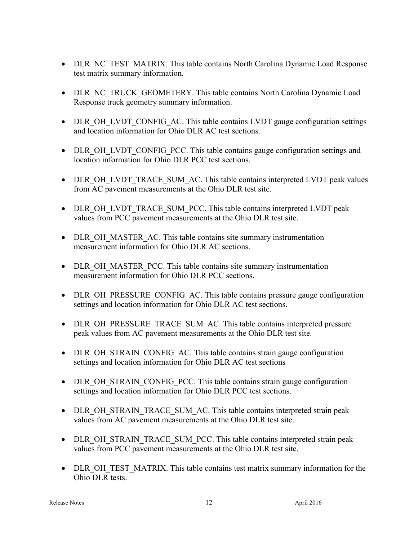- DLR\_NC\_TEST\_MATRIX. This table contains North Carolina Dynamic Load Response test matrix summary information.
- DLR\_NC\_TRUCK\_GEOMETERY. This table contains North Carolina Dynamic Load Response truck geometry summary information.
- DLR\_OH\_LVDT\_CONFIG\_AC. This table contains LVDT gauge configuration settings and location information for Ohio DLR AC test sections.
- DLR\_OH\_LVDT\_CONFIG\_PCC. This table contains gauge configuration settings and location information for Ohio DLR PCC test sections.
- DLR\_OH\_LVDT\_TRACE\_SUM\_AC. This table contains interpreted LVDT peak values from AC pavement measurements at the Ohio DLR test site.
- DLR\_OH\_LVDT\_TRACE\_SUM\_PCC. This table contains interpreted LVDT peak values from PCC pavement measurements at the Ohio DLR test site.
- DLR OH\_MASTER\_AC. This table contains site summary instrumentation measurement information for Ohio DLR AC sections.
- DLR OH MASTER PCC. This table contains site summary instrumentation measurement information for Ohio DLR PCC sections.
- DLR OH\_PRESSURE\_CONFIG\_AC. This table contains pressure gauge configuration settings and location information for Ohio DLR AC test sections.
- DLR\_OH\_PRESSURE\_TRACE\_SUM\_AC. This table contains interpreted pressure peak values from AC pavement measurements at the Ohio DLR test site.
- DLR\_OH\_STRAIN\_CONFIG\_AC. This table contains strain gauge configuration settings and location information for Ohio DLR AC test sections
- DLR\_OH\_STRAIN\_CONFIG\_PCC. This table contains strain gauge configuration settings and location information for Ohio DLR PCC test sections.
- DLR\_OH\_STRAIN\_TRACE\_SUM\_AC. This table contains interpreted strain peak values from AC pavement measurements at the Ohio DLR test site.
- DLR\_OH\_STRAIN\_TRACE\_SUM\_PCC. This table contains interpreted strain peak values from PCC pavement measurements at the Ohio DLR test site.
- DLR\_OH\_TEST\_MATRIX. This table contains test matrix summary information for the Ohio DLR tests.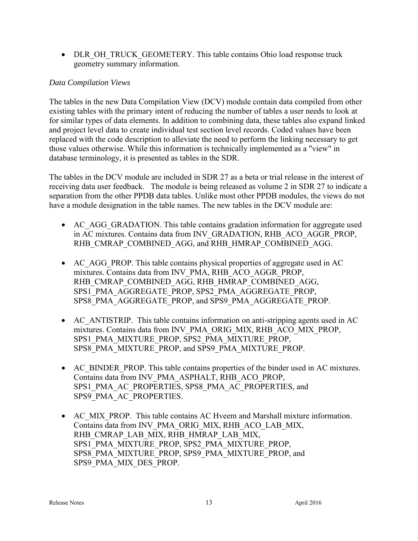• DLR\_OH\_TRUCK\_GEOMETERY. This table contains Ohio load response truck geometry summary information.

### *Data Compilation Views*

The tables in the new Data Compilation View (DCV) module contain data compiled from other existing tables with the primary intent of reducing the number of tables a user needs to look at for similar types of data elements. In addition to combining data, these tables also expand linked and project level data to create individual test section level records. Coded values have been replaced with the code description to alleviate the need to perform the linking necessary to get those values otherwise. While this information is technically implemented as a "view" in database terminology, it is presented as tables in the SDR.

The tables in the DCV module are included in SDR 27 as a beta or trial release in the interest of receiving data user feedback. The module is being released as volume 2 in SDR 27 to indicate a separation from the other PPDB data tables. Unlike most other PPDB modules, the views do not have a module designation in the table names. The new tables in the DCV module are:

- AC\_AGG\_GRADATION. This table contains gradation information for aggregate used in AC mixtures. Contains data from INV\_GRADATION, RHB\_ACO\_AGGR\_PROP, RHB\_CMRAP\_COMBINED\_AGG, and RHB\_HMRAP\_COMBINED\_AGG.
- AC AGG PROP. This table contains physical properties of aggregate used in AC mixtures. Contains data from INV\_PMA, RHB\_ACO\_AGGR\_PROP, RHB\_CMRAP\_COMBINED\_AGG, RHB\_HMRAP\_COMBINED\_AGG, SPS1\_PMA\_AGGREGATE\_PROP, SPS2\_PMA\_AGGREGATE\_PROP, SPS8\_PMA\_AGGREGATE\_PROP, and SPS9\_PMA\_AGGREGATE\_PROP.
- AC ANTISTRIP. This table contains information on anti-stripping agents used in AC mixtures. Contains data from INV\_PMA\_ORIG\_MIX, RHB\_ACO\_MIX\_PROP, SPS1\_PMA\_MIXTURE\_PROP, SPS2\_PMA\_MIXTURE\_PROP, SPS8\_PMA\_MIXTURE\_PROP, and SPS9\_PMA\_MIXTURE\_PROP.
- AC\_BINDER\_PROP. This table contains properties of the binder used in AC mixtures. Contains data from INV\_PMA\_ASPHALT, RHB\_ACO\_PROP, SPS1\_PMA\_AC\_PROPERTIES, SPS8\_PMA\_AC\_PROPERTIES, and SPS9\_PMA\_AC\_PROPERTIES.
- AC MIX PROP. This table contains AC Hyeem and Marshall mixture information. Contains data from INV\_PMA\_ORIG\_MIX, RHB\_ACO\_LAB\_MIX, RHB\_CMRAP\_LAB\_MIX, RHB\_HMRAP\_LAB\_MIX, SPS1\_PMA\_MIXTURE\_PROP, SPS2\_PMA\_MIXTURE\_PROP, SPS8\_PMA\_MIXTURE\_PROP, SPS9\_PMA\_MIXTURE\_PROP, and SPS9\_PMA\_MIX\_DES\_PROP.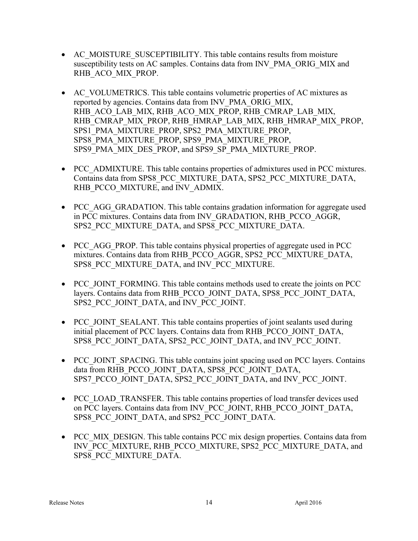- AC MOISTURE SUSCEPTIBILITY. This table contains results from moisture susceptibility tests on AC samples. Contains data from INV\_PMA\_ORIG\_MIX and RHB\_ACO\_MIX\_PROP.
- AC\_VOLUMETRICS. This table contains volumetric properties of AC mixtures as reported by agencies. Contains data from INV\_PMA\_ORIG\_MIX, RHB\_ACO\_LAB\_MIX, RHB\_ACO\_MIX\_PROP, RHB\_CMRAP\_LAB\_MIX, RHB\_CMRAP\_MIX\_PROP, RHB\_HMRAP\_LAB\_MIX, RHB\_HMRAP\_MIX\_PROP, SPS1\_PMA\_MIXTURE\_PROP, SPS2\_PMA\_MIXTURE\_PROP, SPS8\_PMA\_MIXTURE\_PROP, SPS9\_PMA\_MIXTURE\_PROP, SPS9\_PMA\_MIX\_DES\_PROP, and SPS9\_SP\_PMA\_MIXTURE\_PROP.
- PCC\_ADMIXTURE. This table contains properties of admixtures used in PCC mixtures. Contains data from SPS8\_PCC\_MIXTURE\_DATA, SPS2\_PCC\_MIXTURE\_DATA, RHB\_PCCO\_MIXTURE, and INV\_ADMIX.
- PCC AGG GRADATION. This table contains gradation information for aggregate used in PCC mixtures. Contains data from INV\_GRADATION, RHB\_PCCO\_AGGR, SPS2\_PCC\_MIXTURE\_DATA, and SPS8\_PCC\_MIXTURE\_DATA.
- PCC AGG PROP. This table contains physical properties of aggregate used in PCC mixtures. Contains data from RHB\_PCCO\_AGGR, SPS2\_PCC\_MIXTURE\_DATA, SPS8\_PCC\_MIXTURE\_DATA, and INV\_PCC\_MIXTURE.
- PCC JOINT FORMING. This table contains methods used to create the joints on PCC layers. Contains data from RHB\_PCCO\_JOINT\_DATA, SPS8\_PCC\_JOINT\_DATA, SPS2\_PCC\_JOINT\_DATA, and INV\_PCC\_JOINT.
- PCC JOINT SEALANT. This table contains properties of joint sealants used during initial placement of PCC layers. Contains data from RHB\_PCCO\_JOINT\_DATA, SPS8\_PCC\_JOINT\_DATA, SPS2\_PCC\_JOINT\_DATA, and INV\_PCC\_JOINT.
- PCC JOINT SPACING. This table contains joint spacing used on PCC layers. Contains data from RHB\_PCCO\_JOINT\_DATA, SPS8\_PCC\_JOINT\_DATA, SPS7\_PCCO\_JOINT\_DATA, SPS2\_PCC\_JOINT\_DATA, and INV\_PCC\_JOINT.
- PCC LOAD TRANSFER. This table contains properties of load transfer devices used on PCC layers. Contains data from INV\_PCC\_JOINT, RHB\_PCCO\_JOINT\_DATA, SPS8\_PCC\_JOINT\_DATA, and SPS2\_PCC\_JOINT\_DATA.
- PCC MIX DESIGN. This table contains PCC mix design properties. Contains data from INV\_PCC\_MIXTURE, RHB\_PCCO\_MIXTURE, SPS2\_PCC\_MIXTURE\_DATA, and SPS8\_PCC\_MIXTURE\_DATA.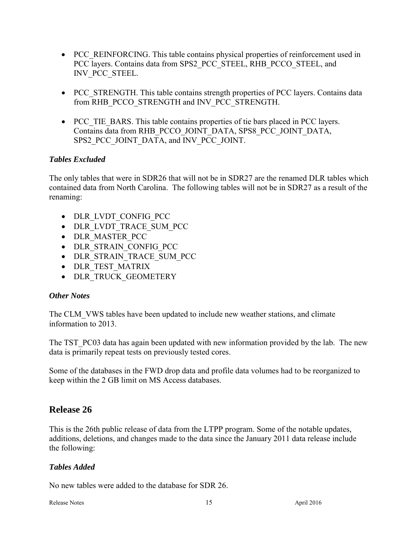- PCC\_REINFORCING. This table contains physical properties of reinforcement used in PCC layers. Contains data from SPS2\_PCC\_STEEL, RHB\_PCCO\_STEEL, and INV\_PCC\_STEEL.
- PCC STRENGTH. This table contains strength properties of PCC layers. Contains data from RHB\_PCCO\_STRENGTH and INV\_PCC\_STRENGTH.
- PCC TIE BARS. This table contains properties of tie bars placed in PCC layers. Contains data from RHB\_PCCO\_JOINT\_DATA, SPS8\_PCC\_JOINT\_DATA, SPS2\_PCC\_JOINT\_DATA, and INV\_PCC\_JOINT.

### *Tables Excluded*

The only tables that were in SDR26 that will not be in SDR27 are the renamed DLR tables which contained data from North Carolina. The following tables will not be in SDR27 as a result of the renaming:

- DLR LVDT CONFIG PCC
- DLR\_LVDT\_TRACE\_SUM\_PCC
- DLR MASTER PCC
- DLR STRAIN CONFIG PCC
- DLR\_STRAIN\_TRACE\_SUM\_PCC
- DLR TEST MATRIX
- DLR TRUCK GEOMETERY

### *Other Notes*

The CLM\_VWS tables have been updated to include new weather stations, and climate information to 2013.

The TST PC03 data has again been updated with new information provided by the lab. The new data is primarily repeat tests on previously tested cores.

Some of the databases in the FWD drop data and profile data volumes had to be reorganized to keep within the 2 GB limit on MS Access databases.

# **Release 26**

This is the 26th public release of data from the LTPP program. Some of the notable updates, additions, deletions, and changes made to the data since the January 2011 data release include the following:

### *Tables Added*

No new tables were added to the database for SDR 26.

Release Notes 15 April 2016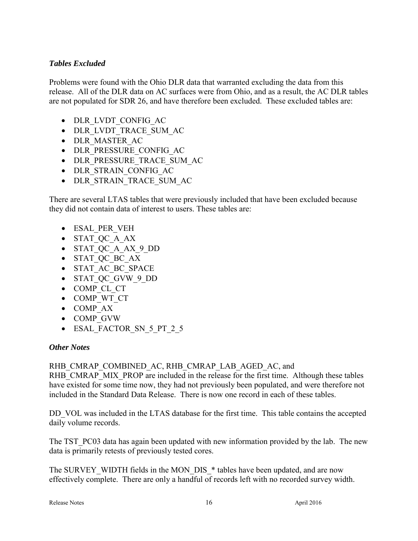### *Tables Excluded*

Problems were found with the Ohio DLR data that warranted excluding the data from this release. All of the DLR data on AC surfaces were from Ohio, and as a result, the AC DLR tables are not populated for SDR 26, and have therefore been excluded. These excluded tables are:

- DLR LVDT CONFIG AC
- DLR\_LVDT\_TRACE\_SUM\_AC
- DLR MASTER AC
- DLR\_PRESSURE\_CONFIG\_AC
- DLR\_PRESSURE\_TRACE\_SUM\_AC
- DLR STRAIN CONFIG AC
- DLR\_STRAIN\_TRACE\_SUM\_AC

There are several LTAS tables that were previously included that have been excluded because they did not contain data of interest to users. These tables are:

- ESAL PER VEH
- STAT\_QC\_A\_AX
- STAT\_QC\_A\_AX\_9\_DD
- STAT QC BC AX
- STAT AC BC SPACE
- STAT\_QC\_GVW\_9\_DD
- COMP CL CT
- COMP WT CT
- COMP AX
- COMP\_GVW
- ESAL\_FACTOR\_SN\_5\_PT\_2\_5

#### *Other Notes*

### RHB\_CMRAP\_COMBINED\_AC, RHB\_CMRAP\_LAB\_AGED\_AC, and

RHB\_CMRAP\_MIX\_PROP are included in the release for the first time. Although these tables have existed for some time now, they had not previously been populated, and were therefore not included in the Standard Data Release. There is now one record in each of these tables.

DD VOL was included in the LTAS database for the first time. This table contains the accepted daily volume records.

The TST PC03 data has again been updated with new information provided by the lab. The new data is primarily retests of previously tested cores.

The SURVEY WIDTH fields in the MON DIS \* tables have been updated, and are now effectively complete. There are only a handful of records left with no recorded survey width.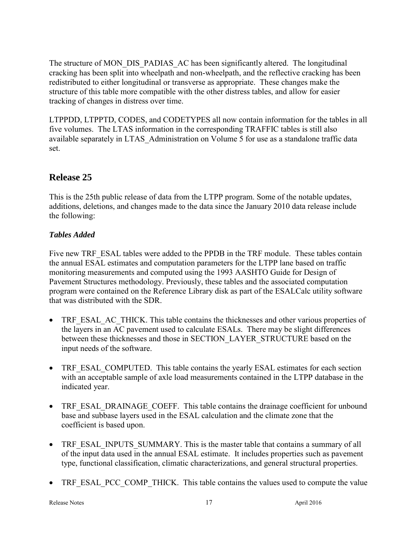The structure of MON\_DIS\_PADIAS\_AC has been significantly altered. The longitudinal cracking has been split into wheelpath and non-wheelpath, and the reflective cracking has been redistributed to either longitudinal or transverse as appropriate. These changes make the structure of this table more compatible with the other distress tables, and allow for easier tracking of changes in distress over time.

LTPPDD, LTPPTD, CODES, and CODETYPES all now contain information for the tables in all five volumes. The LTAS information in the corresponding TRAFFIC tables is still also available separately in LTAS\_Administration on Volume 5 for use as a standalone traffic data set.

# **Release 25**

This is the 25th public release of data from the LTPP program. Some of the notable updates, additions, deletions, and changes made to the data since the January 2010 data release include the following:

### *Tables Added*

Five new TRF\_ESAL tables were added to the PPDB in the TRF module. These tables contain the annual ESAL estimates and computation parameters for the LTPP lane based on traffic monitoring measurements and computed using the 1993 AASHTO Guide for Design of Pavement Structures methodology. Previously, these tables and the associated computation program were contained on the Reference Library disk as part of the ESALCalc utility software that was distributed with the SDR.

- TRF\_ESAL\_AC\_THICK. This table contains the thicknesses and other various properties of the layers in an AC pavement used to calculate ESALs. There may be slight differences between these thicknesses and those in SECTION\_LAYER\_STRUCTURE based on the input needs of the software.
- TRF ESAL COMPUTED. This table contains the yearly ESAL estimates for each section with an acceptable sample of axle load measurements contained in the LTPP database in the indicated year.
- TRF\_ESAL\_DRAINAGE\_COEFF. This table contains the drainage coefficient for unbound base and subbase layers used in the ESAL calculation and the climate zone that the coefficient is based upon.
- TRF\_ESAL\_INPUTS\_SUMMARY. This is the master table that contains a summary of all of the input data used in the annual ESAL estimate. It includes properties such as pavement type, functional classification, climatic characterizations, and general structural properties.
- TRF\_ESAL\_PCC\_COMP\_THICK. This table contains the values used to compute the value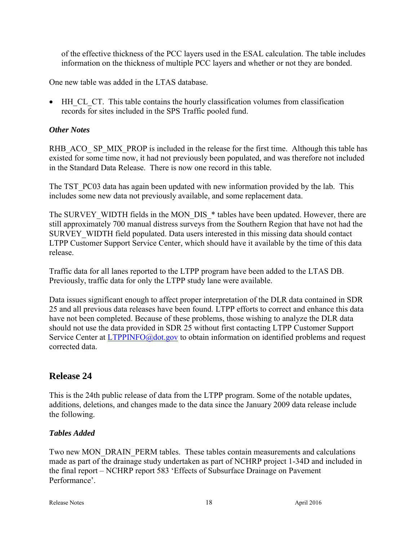of the effective thickness of the PCC layers used in the ESAL calculation. The table includes information on the thickness of multiple PCC layers and whether or not they are bonded.

One new table was added in the LTAS database.

• HH CL CT. This table contains the hourly classification volumes from classification records for sites included in the SPS Traffic pooled fund.

### *Other Notes*

RHB\_ACO\_ SP\_MIX\_PROP is included in the release for the first time. Although this table has existed for some time now, it had not previously been populated, and was therefore not included in the Standard Data Release. There is now one record in this table.

The TST PC03 data has again been updated with new information provided by the lab. This includes some new data not previously available, and some replacement data.

The SURVEY WIDTH fields in the MON DIS \* tables have been updated. However, there are still approximately 700 manual distress surveys from the Southern Region that have not had the SURVEY\_WIDTH field populated. Data users interested in this missing data should contact LTPP Customer Support Service Center, which should have it available by the time of this data release.

Traffic data for all lanes reported to the LTPP program have been added to the LTAS DB. Previously, traffic data for only the LTPP study lane were available.

Data issues significant enough to affect proper interpretation of the DLR data contained in SDR 25 and all previous data releases have been found. LTPP efforts to correct and enhance this data have not been completed. Because of these problems, those wishing to analyze the DLR data should not use the data provided in SDR 25 without first contacting LTPP Customer Support Service Center at [LTPPINFO@dot.gov](mailto:LTPPINFO@dot.gov) to obtain information on identified problems and request corrected data.

# **Release 24**

This is the 24th public release of data from the LTPP program. Some of the notable updates, additions, deletions, and changes made to the data since the January 2009 data release include the following.

### *Tables Added*

Two new MON\_DRAIN\_PERM tables. These tables contain measurements and calculations made as part of the drainage study undertaken as part of NCHRP project 1-34D and included in the final report – NCHRP report 583 'Effects of Subsurface Drainage on Pavement Performance'.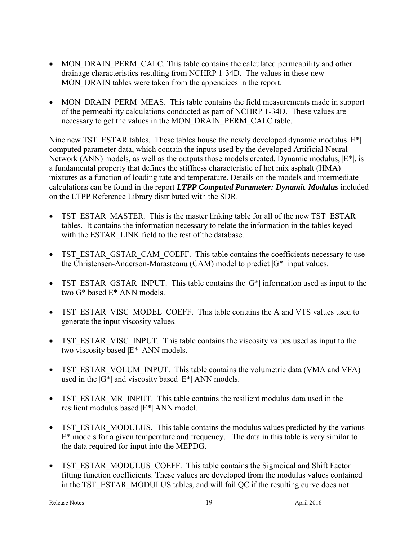- MON DRAIN PERM CALC. This table contains the calculated permeability and other drainage characteristics resulting from NCHRP 1-34D. The values in these new MON DRAIN tables were taken from the appendices in the report.
- MON DRAIN PERM MEAS. This table contains the field measurements made in support of the permeability calculations conducted as part of NCHRP 1-34D. These values are necessary to get the values in the MON\_DRAIN\_PERM\_CALC table.

Nine new TST\_ESTAR tables. These tables house the newly developed dynamic modulus  $|E^*|$ computed parameter data, which contain the inputs used by the developed Artificial Neural Network (ANN) models, as well as the outputs those models created. Dynamic modulus,  $|E^*|$ , is a fundamental property that defines the stiffness characteristic of hot mix asphalt (HMA) mixtures as a function of loading rate and temperature. Details on the models and intermediate calculations can be found in the report *LTPP Computed Parameter: Dynamic Modulus* included on the LTPP Reference Library distributed with the SDR.

- TST\_ESTAR\_MASTER. This is the master linking table for all of the new TST\_ESTAR tables. It contains the information necessary to relate the information in the tables keyed with the ESTAR\_LINK field to the rest of the database.
- TST\_ESTAR\_GSTAR\_CAM\_COEFF. This table contains the coefficients necessary to use the Christensen-Anderson-Marasteanu (CAM) model to predict  $|G^*|$  input values.
- TST\_ESTAR\_GSTAR\_INPUT. This table contains the  $|G^*|$  information used as input to the two G\* based E\* ANN models.
- TST\_ESTAR\_VISC\_MODEL\_COEFF. This table contains the A and VTS values used to generate the input viscosity values.
- TST\_ESTAR\_VISC\_INPUT. This table contains the viscosity values used as input to the two viscosity based |E\*| ANN models.
- TST\_ESTAR\_VOLUM\_INPUT. This table contains the volumetric data (VMA and VFA) used in the  $|G^*|$  and viscosity based  $|E^*|$  ANN models.
- TST\_ESTAR\_MR\_INPUT. This table contains the resilient modulus data used in the resilient modulus based |E\*| ANN model.
- TST\_ESTAR\_MODULUS. This table contains the modulus values predicted by the various  $E^*$  models for a given temperature and frequency. The data in this table is very similar to the data required for input into the MEPDG.
- TST\_ESTAR\_MODULUS\_COEFF. This table contains the Sigmoidal and Shift Factor fitting function coefficients. These values are developed from the modulus values contained in the TST\_ESTAR\_MODULUS tables, and will fail QC if the resulting curve does not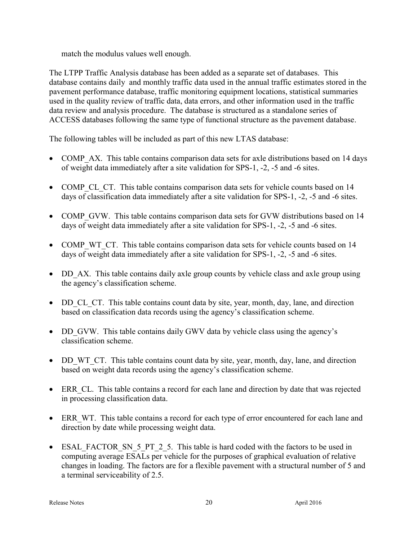match the modulus values well enough.

The LTPP Traffic Analysis database has been added as a separate set of databases. This database contains daily and monthly traffic data used in the annual traffic estimates stored in the pavement performance database, traffic monitoring equipment locations, statistical summaries used in the quality review of traffic data, data errors, and other information used in the traffic data review and analysis procedure. The database is structured as a standalone series of ACCESS databases following the same type of functional structure as the pavement database.

The following tables will be included as part of this new LTAS database:

- COMP AX. This table contains comparison data sets for axle distributions based on 14 days of weight data immediately after a site validation for SPS-1, -2, -5 and -6 sites.
- COMP CL CT. This table contains comparison data sets for vehicle counts based on 14 days of classification data immediately after a site validation for SPS-1, -2, -5 and -6 sites.
- COMP GVW. This table contains comparison data sets for GVW distributions based on 14 days of weight data immediately after a site validation for SPS-1, -2, -5 and -6 sites.
- COMP WT CT. This table contains comparison data sets for vehicle counts based on 14 days of weight data immediately after a site validation for SPS-1, -2, -5 and -6 sites.
- DD AX. This table contains daily axle group counts by vehicle class and axle group using the agency's classification scheme.
- DD CL CT. This table contains count data by site, year, month, day, lane, and direction based on classification data records using the agency's classification scheme.
- DD GVW. This table contains daily GWV data by vehicle class using the agency's classification scheme.
- DD WT CT. This table contains count data by site, year, month, day, lane, and direction based on weight data records using the agency's classification scheme.
- ERR CL. This table contains a record for each lane and direction by date that was rejected in processing classification data.
- ERR WT. This table contains a record for each type of error encountered for each lane and direction by date while processing weight data.
- ESAL FACTOR SN 5 PT 2 5. This table is hard coded with the factors to be used in computing average ESALs per vehicle for the purposes of graphical evaluation of relative changes in loading. The factors are for a flexible pavement with a structural number of 5 and a terminal serviceability of 2.5.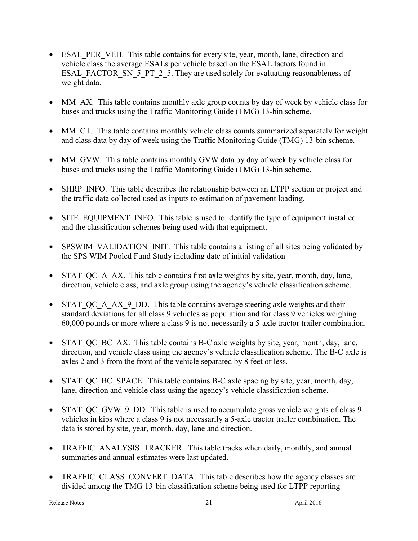- ESAL PER VEH. This table contains for every site, year, month, lane, direction and vehicle class the average ESALs per vehicle based on the ESAL factors found in ESAL\_FACTOR\_SN\_5\_PT\_2\_5. They are used solely for evaluating reasonableness of weight data.
- MM AX. This table contains monthly axle group counts by day of week by vehicle class for buses and trucks using the Traffic Monitoring Guide (TMG) 13-bin scheme.
- MM\_CT. This table contains monthly vehicle class counts summarized separately for weight and class data by day of week using the Traffic Monitoring Guide (TMG) 13-bin scheme.
- MM GVW. This table contains monthly GVW data by day of week by vehicle class for buses and trucks using the Traffic Monitoring Guide (TMG) 13-bin scheme.
- SHRP INFO. This table describes the relationship between an LTPP section or project and the traffic data collected used as inputs to estimation of pavement loading.
- SITE\_EQUIPMENT\_INFO. This table is used to identify the type of equipment installed and the classification schemes being used with that equipment.
- SPSWIM VALIDATION INIT. This table contains a listing of all sites being validated by the SPS WIM Pooled Fund Study including date of initial validation
- $\bullet$  STAT QC A AX. This table contains first axle weights by site, year, month, day, lane, direction, vehicle class, and axle group using the agency's vehicle classification scheme.
- STAT QC A AX 9 DD. This table contains average steering axle weights and their standard deviations for all class 9 vehicles as population and for class 9 vehicles weighing 60,000 pounds or more where a class 9 is not necessarily a 5-axle tractor trailer combination.
- STAT QC BC AX. This table contains B-C axle weights by site, year, month, day, lane, direction, and vehicle class using the agency's vehicle classification scheme. The B-C axle is axles 2 and 3 from the front of the vehicle separated by 8 feet or less.
- STAT QC BC SPACE. This table contains B-C axle spacing by site, year, month, day, lane, direction and vehicle class using the agency's vehicle classification scheme.
- STAT QC GVW 9 DD. This table is used to accumulate gross vehicle weights of class 9 vehicles in kips where a class 9 is not necessarily a 5-axle tractor trailer combination. The data is stored by site, year, month, day, lane and direction.
- TRAFFIC ANALYSIS TRACKER. This table tracks when daily, monthly, and annual summaries and annual estimates were last updated.
- TRAFFIC CLASS CONVERT DATA. This table describes how the agency classes are divided among the TMG 13-bin classification scheme being used for LTPP reporting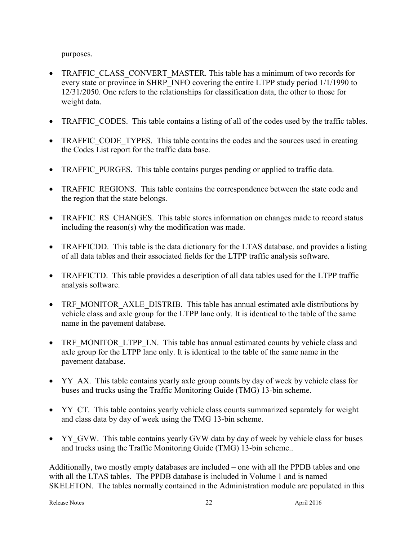purposes.

- TRAFFIC CLASS CONVERT MASTER. This table has a minimum of two records for every state or province in SHRP\_INFO covering the entire LTPP study period  $1/1/1990$  to 12/31/2050. One refers to the relationships for classification data, the other to those for weight data.
- TRAFFIC CODES. This table contains a listing of all of the codes used by the traffic tables.
- TRAFFIC CODE TYPES. This table contains the codes and the sources used in creating the Codes List report for the traffic data base.
- TRAFFIC PURGES. This table contains purges pending or applied to traffic data.
- TRAFFIC REGIONS. This table contains the correspondence between the state code and the region that the state belongs.
- TRAFFIC RS CHANGES. This table stores information on changes made to record status including the reason(s) why the modification was made.
- TRAFFICDD. This table is the data dictionary for the LTAS database, and provides a listing of all data tables and their associated fields for the LTPP traffic analysis software.
- TRAFFICTD. This table provides a description of all data tables used for the LTPP traffic analysis software.
- TRF MONITOR AXLE DISTRIB. This table has annual estimated axle distributions by vehicle class and axle group for the LTPP lane only. It is identical to the table of the same name in the pavement database.
- TRF\_MONITOR\_LTPP\_LN. This table has annual estimated counts by vehicle class and axle group for the LTPP lane only. It is identical to the table of the same name in the pavement database.
- YY AX. This table contains yearly axle group counts by day of week by vehicle class for buses and trucks using the Traffic Monitoring Guide (TMG) 13-bin scheme.
- YY\_CT. This table contains yearly vehicle class counts summarized separately for weight and class data by day of week using the TMG 13-bin scheme.
- YY GVW. This table contains yearly GVW data by day of week by vehicle class for buses and trucks using the Traffic Monitoring Guide (TMG) 13-bin scheme..

Additionally, two mostly empty databases are included – one with all the PPDB tables and one with all the LTAS tables. The PPDB database is included in Volume 1 and is named SKELETON. The tables normally contained in the Administration module are populated in this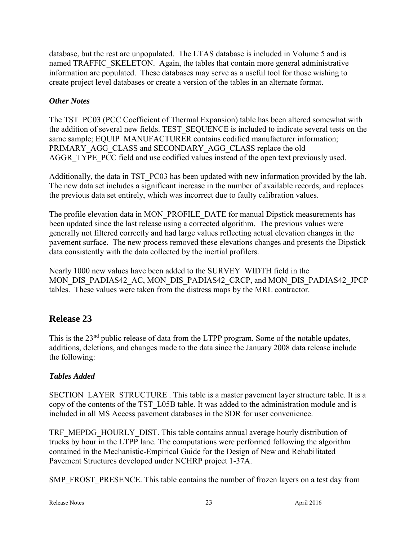database, but the rest are unpopulated. The LTAS database is included in Volume 5 and is named TRAFFIC\_SKELETON. Again, the tables that contain more general administrative information are populated. These databases may serve as a useful tool for those wishing to create project level databases or create a version of the tables in an alternate format.

### *Other Notes*

The TST\_PC03 (PCC Coefficient of Thermal Expansion) table has been altered somewhat with the addition of several new fields. TEST\_SEQUENCE is included to indicate several tests on the same sample; EQUIP\_MANUFACTURER contains codified manufacturer information; PRIMARY\_AGG\_CLASS and SECONDARY\_AGG\_CLASS replace the old AGGR\_TYPE\_PCC\_field and use codified values instead of the open text previously used.

Additionally, the data in TST PC03 has been updated with new information provided by the lab. The new data set includes a significant increase in the number of available records, and replaces the previous data set entirely, which was incorrect due to faulty calibration values.

The profile elevation data in MON\_PROFILE\_DATE for manual Dipstick measurements has been updated since the last release using a corrected algorithm. The previous values were generally not filtered correctly and had large values reflecting actual elevation changes in the pavement surface. The new process removed these elevations changes and presents the Dipstick data consistently with the data collected by the inertial profilers.

Nearly 1000 new values have been added to the SURVEY\_WIDTH field in the MON\_DIS\_PADIAS42\_AC, MON\_DIS\_PADIAS42\_CRCP, and MON\_DIS\_PADIAS42\_JPCP tables. These values were taken from the distress maps by the MRL contractor.

# **Release 23**

This is the 23<sup>nd</sup> public release of data from the LTPP program. Some of the notable updates, additions, deletions, and changes made to the data since the January 2008 data release include the following:

### *Tables Added*

SECTION\_LAYER\_STRUCTURE . This table is a master pavement layer structure table. It is a copy of the contents of the TST\_L05B table. It was added to the administration module and is included in all MS Access pavement databases in the SDR for user convenience.

TRF\_MEPDG\_HOURLY\_DIST. This table contains annual average hourly distribution of trucks by hour in the LTPP lane. The computations were performed following the algorithm contained in the Mechanistic-Empirical Guide for the Design of New and Rehabilitated Pavement Structures developed under NCHRP project 1-37A.

SMP\_FROST\_PRESENCE. This table contains the number of frozen layers on a test day from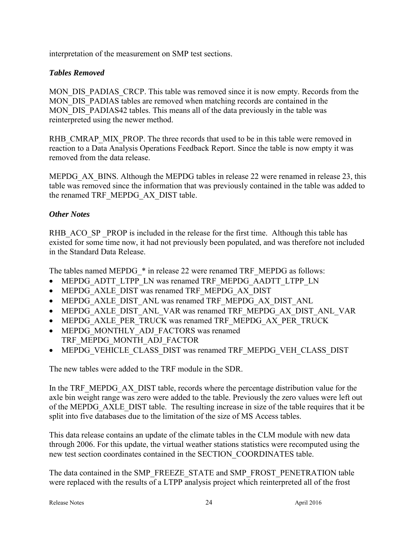interpretation of the measurement on SMP test sections.

### *Tables Removed*

MON\_DIS\_PADIAS\_CRCP. This table was removed since it is now empty. Records from the MON DIS PADIAS tables are removed when matching records are contained in the MON DIS PADIAS42 tables. This means all of the data previously in the table was reinterpreted using the newer method.

RHB\_CMRAP\_MIX\_PROP. The three records that used to be in this table were removed in reaction to a Data Analysis Operations Feedback Report. Since the table is now empty it was removed from the data release.

MEPDG AX BINS. Although the MEPDG tables in release 22 were renamed in release 23, this table was removed since the information that was previously contained in the table was added to the renamed TRF\_MEPDG\_AX\_DIST table.

### *Other Notes*

RHB\_ACO\_SP \_PROP is included in the release for the first time. Although this table has existed for some time now, it had not previously been populated, and was therefore not included in the Standard Data Release.

The tables named MEPDG  $*$  in release 22 were renamed TRF\_MEPDG as follows:

- MEPDG\_ADTT\_LTPP\_LN was renamed TRF\_MEPDG\_AADTT\_LTPP\_LN
- MEPDG\_AXLE\_DIST was renamed TRF\_MEPDG\_AX\_DIST
- MEPDG\_AXLE\_DIST\_ANL was renamed TRF\_MEPDG\_AX\_DIST\_ANL
- MEPDG\_AXLE\_DIST\_ANL\_VAR was renamed TRF\_MEPDG\_AX\_DIST\_ANL\_VAR
- MEPDG\_AXLE\_PER\_TRUCK was renamed TRF\_MEPDG\_AX\_PER\_TRUCK
- MEPDG\_MONTHLY\_ADJ\_FACTORS was renamed TRF\_MEPDG\_MONTH\_ADJ\_FACTOR
- MEPDG\_VEHICLE\_CLASS\_DIST was renamed TRF\_MEPDG\_VEH\_CLASS\_DIST

The new tables were added to the TRF module in the SDR.

In the TRF\_MEPDG\_AX\_DIST table, records where the percentage distribution value for the axle bin weight range was zero were added to the table. Previously the zero values were left out of the MEPDG\_AXLE\_DIST table. The resulting increase in size of the table requires that it be split into five databases due to the limitation of the size of MS Access tables.

This data release contains an update of the climate tables in the CLM module with new data through 2006. For this update, the virtual weather stations statistics were recomputed using the new test section coordinates contained in the SECTION\_COORDINATES table.

The data contained in the SMP\_FREEZE\_STATE and SMP\_FROST\_PENETRATION table were replaced with the results of a LTPP analysis project which reinterpreted all of the frost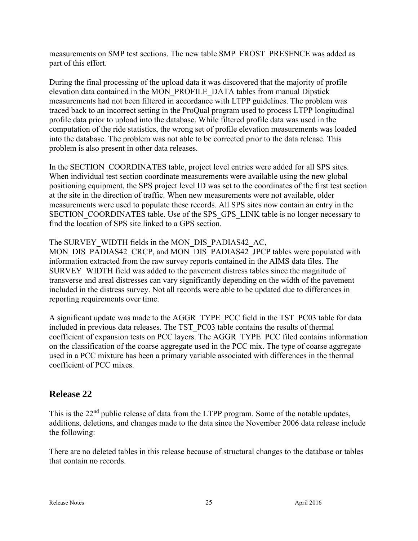measurements on SMP test sections. The new table SMP\_FROST\_PRESENCE was added as part of this effort.

During the final processing of the upload data it was discovered that the majority of profile elevation data contained in the MON\_PROFILE\_DATA tables from manual Dipstick measurements had not been filtered in accordance with LTPP guidelines. The problem was traced back to an incorrect setting in the ProQual program used to process LTPP longitudinal profile data prior to upload into the database. While filtered profile data was used in the computation of the ride statistics, the wrong set of profile elevation measurements was loaded into the database. The problem was not able to be corrected prior to the data release. This problem is also present in other data releases.

In the SECTION COORDINATES table, project level entries were added for all SPS sites. When individual test section coordinate measurements were available using the new global positioning equipment, the SPS project level ID was set to the coordinates of the first test section at the site in the direction of traffic. When new measurements were not available, older measurements were used to populate these records. All SPS sites now contain an entry in the SECTION COORDINATES table. Use of the SPS GPS LINK table is no longer necessary to find the location of SPS site linked to a GPS section.

The SURVEY WIDTH fields in the MON DIS PADIAS42 AC,

MON\_DIS\_PADIAS42\_CRCP, and MON\_DIS\_PADIAS42\_JPCP tables were populated with information extracted from the raw survey reports contained in the AIMS data files. The SURVEY WIDTH field was added to the pavement distress tables since the magnitude of transverse and areal distresses can vary significantly depending on the width of the pavement included in the distress survey. Not all records were able to be updated due to differences in reporting requirements over time.

A significant update was made to the AGGR\_TYPE\_PCC field in the TST\_PC03 table for data included in previous data releases. The TST\_PC03 table contains the results of thermal coefficient of expansion tests on PCC layers. The AGGR\_TYPE\_PCC filed contains information on the classification of the coarse aggregate used in the PCC mix. The type of coarse aggregate used in a PCC mixture has been a primary variable associated with differences in the thermal coefficient of PCC mixes.

# **Release 22**

This is the 22<sup>nd</sup> public release of data from the LTPP program. Some of the notable updates, additions, deletions, and changes made to the data since the November 2006 data release include the following:

There are no deleted tables in this release because of structural changes to the database or tables that contain no records.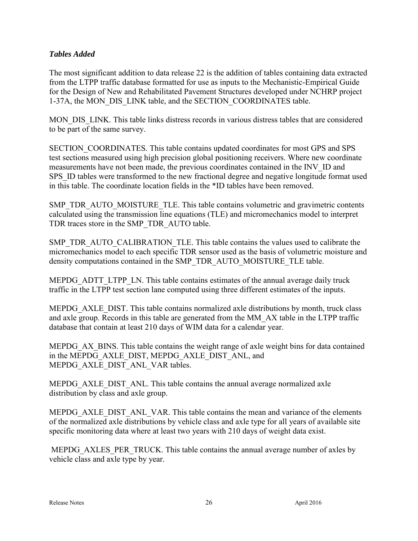### *Tables Added*

The most significant addition to data release 22 is the addition of tables containing data extracted from the LTPP traffic database formatted for use as inputs to the Mechanistic-Empirical Guide for the Design of New and Rehabilitated Pavement Structures developed under NCHRP project 1-37A, the MON\_DIS\_LINK table, and the SECTION\_COORDINATES table.

MON DIS LINK. This table links distress records in various distress tables that are considered to be part of the same survey.

SECTION\_COORDINATES. This table contains updated coordinates for most GPS and SPS test sections measured using high precision global positioning receivers. Where new coordinate measurements have not been made, the previous coordinates contained in the INV\_ID and SPS ID tables were transformed to the new fractional degree and negative longitude format used in this table. The coordinate location fields in the \*ID tables have been removed.

SMP\_TDR\_AUTO\_MOISTURE\_TLE. This table contains volumetric and gravimetric contents calculated using the transmission line equations (TLE) and micromechanics model to interpret TDR traces store in the SMP\_TDR\_AUTO table.

SMP\_TDR\_AUTO\_CALIBRATION\_TLE. This table contains the values used to calibrate the micromechanics model to each specific TDR sensor used as the basis of volumetric moisture and density computations contained in the SMP\_TDR\_AUTO\_MOISTURE\_TLE table.

MEPDG\_ADTT\_LTPP\_LN. This table contains estimates of the annual average daily truck traffic in the LTPP test section lane computed using three different estimates of the inputs.

MEPDG\_AXLE\_DIST. This table contains normalized axle distributions by month, truck class and axle group. Records in this table are generated from the MM\_AX table in the LTPP traffic database that contain at least 210 days of WIM data for a calendar year.

MEPDG AX BINS. This table contains the weight range of axle weight bins for data contained in the MEPDG\_AXLE\_DIST, MEPDG\_AXLE\_DIST\_ANL, and MEPDG\_AXLE\_DIST\_ANL\_VAR tables.

MEPDG\_AXLE\_DIST\_ANL. This table contains the annual average normalized axle distribution by class and axle group.

MEPDG\_AXLE\_DIST\_ANL\_VAR. This table contains the mean and variance of the elements of the normalized axle distributions by vehicle class and axle type for all years of available site specific monitoring data where at least two years with 210 days of weight data exist.

MEPDG\_AXLES\_PER\_TRUCK. This table contains the annual average number of axles by vehicle class and axle type by year.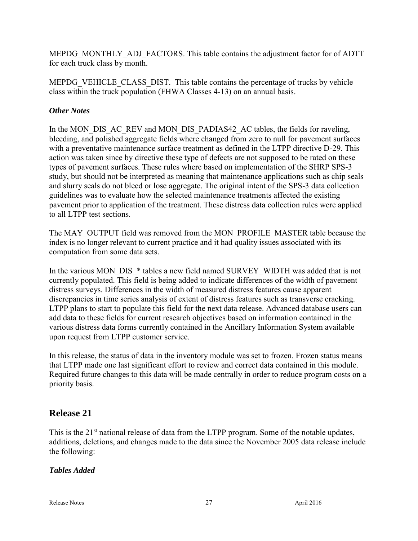MEPDG\_MONTHLY\_ADJ\_FACTORS. This table contains the adjustment factor for of ADTT for each truck class by month.

MEPDG\_VEHICLE\_CLASS\_DIST. This table contains the percentage of trucks by vehicle class within the truck population (FHWA Classes 4-13) on an annual basis.

### *Other Notes*

In the MON\_DIS\_AC\_REV and MON\_DIS\_PADIAS42\_AC tables, the fields for raveling, bleeding, and polished aggregate fields where changed from zero to null for pavement surfaces with a preventative maintenance surface treatment as defined in the LTPP directive D-29. This action was taken since by directive these type of defects are not supposed to be rated on these types of pavement surfaces. These rules where based on implementation of the SHRP SPS-3 study, but should not be interpreted as meaning that maintenance applications such as chip seals and slurry seals do not bleed or lose aggregate. The original intent of the SPS-3 data collection guidelines was to evaluate how the selected maintenance treatments affected the existing pavement prior to application of the treatment. These distress data collection rules were applied to all LTPP test sections.

The MAY\_OUTPUT field was removed from the MON\_PROFILE\_MASTER table because the index is no longer relevant to current practice and it had quality issues associated with its computation from some data sets.

In the various MON\_DIS\_\* tables a new field named SURVEY\_WIDTH was added that is not currently populated. This field is being added to indicate differences of the width of pavement distress surveys. Differences in the width of measured distress features cause apparent discrepancies in time series analysis of extent of distress features such as transverse cracking. LTPP plans to start to populate this field for the next data release. Advanced database users can add data to these fields for current research objectives based on information contained in the various distress data forms currently contained in the Ancillary Information System available upon request from LTPP customer service.

In this release, the status of data in the inventory module was set to frozen. Frozen status means that LTPP made one last significant effort to review and correct data contained in this module. Required future changes to this data will be made centrally in order to reduce program costs on a priority basis.

# **Release 21**

This is the 21<sup>st</sup> national release of data from the LTPP program. Some of the notable updates, additions, deletions, and changes made to the data since the November 2005 data release include the following:

### *Tables Added*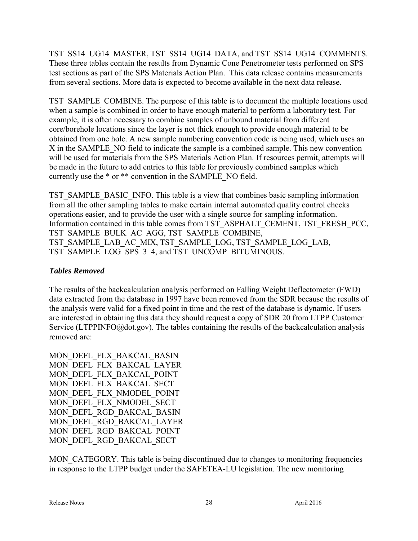TST\_SS14\_UG14\_MASTER, TST\_SS14\_UG14\_DATA, and TST\_SS14\_UG14\_COMMENTS. These three tables contain the results from Dynamic Cone Penetrometer tests performed on SPS test sections as part of the SPS Materials Action Plan. This data release contains measurements from several sections. More data is expected to become available in the next data release.

TST\_SAMPLE\_COMBINE. The purpose of this table is to document the multiple locations used when a sample is combined in order to have enough material to perform a laboratory test. For example, it is often necessary to combine samples of unbound material from different core/borehole locations since the layer is not thick enough to provide enough material to be obtained from one hole. A new sample numbering convention code is being used, which uses an X in the SAMPLE\_NO field to indicate the sample is a combined sample. This new convention will be used for materials from the SPS Materials Action Plan. If resources permit, attempts will be made in the future to add entries to this table for previously combined samples which currently use the  $*$  or  $**$  convention in the SAMPLE\_NO field.

TST\_SAMPLE\_BASIC\_INFO. This table is a view that combines basic sampling information from all the other sampling tables to make certain internal automated quality control checks operations easier, and to provide the user with a single source for sampling information. Information contained in this table comes from TST\_ASPHALT\_CEMENT, TST\_FRESH\_PCC, TST\_SAMPLE\_BULK\_AC\_AGG, TST\_SAMPLE\_COMBINE, TST\_SAMPLE\_LAB\_AC\_MIX, TST\_SAMPLE\_LOG, TST\_SAMPLE\_LOG\_LAB, TST\_SAMPLE\_LOG\_SPS\_3\_4, and TST\_UNCOMP\_BITUMINOUS.

### *Tables Removed*

The results of the backcalculation analysis performed on Falling Weight Deflectometer (FWD) data extracted from the database in 1997 have been removed from the SDR because the results of the analysis were valid for a fixed point in time and the rest of the database is dynamic. If users are interested in obtaining this data they should request a copy of SDR 20 from LTPP Customer Service (LTPPINFO@dot.gov). The tables containing the results of the backcalculation analysis removed are:

MON\_DEFL\_FLX\_BAKCAL\_BASIN MON\_DEFL\_FLX\_BAKCAL\_LAYER MON\_DEFL\_FLX\_BAKCAL\_POINT MON\_DEFL\_FLX\_BAKCAL\_SECT MON\_DEFL\_FLX\_NMODEL\_POINT MON DEFL FLX NMODEL SECT MON\_DEFL\_RGD\_BAKCAL\_BASIN MON\_DEFL\_RGD\_BAKCAL\_LAYER MON\_DEFL\_RGD\_BAKCAL\_POINT MON\_DEFL\_RGD\_BAKCAL\_SECT

MON\_CATEGORY. This table is being discontinued due to changes to monitoring frequencies in response to the LTPP budget under the SAFETEA-LU legislation. The new monitoring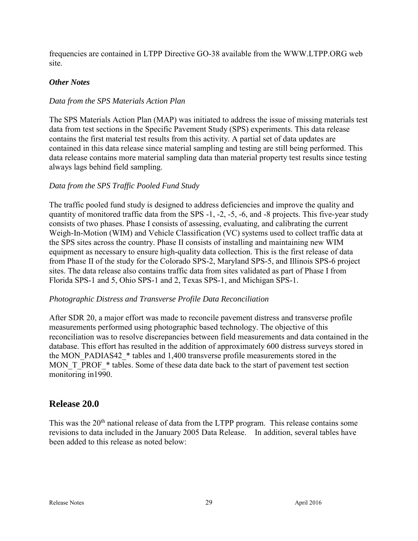frequencies are contained in LTPP Directive GO-38 available from the WWW.LTPP.ORG web site.

### *Other Notes*

### *Data from the SPS Materials Action Plan*

The SPS Materials Action Plan (MAP) was initiated to address the issue of missing materials test data from test sections in the Specific Pavement Study (SPS) experiments. This data release contains the first material test results from this activity. A partial set of data updates are contained in this data release since material sampling and testing are still being performed. This data release contains more material sampling data than material property test results since testing always lags behind field sampling.

#### *Data from the SPS Traffic Pooled Fund Study*

The traffic pooled fund study is designed to address deficiencies and improve the quality and quantity of monitored traffic data from the SPS -1, -2, -5, -6, and -8 projects. This five-year study consists of two phases. Phase I consists of assessing, evaluating, and calibrating the current Weigh-In-Motion (WIM) and Vehicle Classification (VC) systems used to collect traffic data at the SPS sites across the country. Phase II consists of installing and maintaining new WIM equipment as necessary to ensure high-quality data collection. This is the first release of data from Phase II of the study for the Colorado SPS-2, Maryland SPS-5, and Illinois SPS-6 project sites. The data release also contains traffic data from sites validated as part of Phase I from Florida SPS-1 and 5, Ohio SPS-1 and 2, Texas SPS-1, and Michigan SPS-1.

#### *Photographic Distress and Transverse Profile Data Reconciliation*

After SDR 20, a major effort was made to reconcile pavement distress and transverse profile measurements performed using photographic based technology. The objective of this reconciliation was to resolve discrepancies between field measurements and data contained in the database. This effort has resulted in the addition of approximately 600 distress surveys stored in the MON\_PADIAS42\_\* tables and 1,400 transverse profile measurements stored in the MON T\_PROF\_\* tables. Some of these data date back to the start of pavement test section monitoring in1990.

### **Release 20.0**

This was the 20<sup>th</sup> national release of data from the LTPP program. This release contains some revisions to data included in the January 2005 Data Release. In addition, several tables have been added to this release as noted below: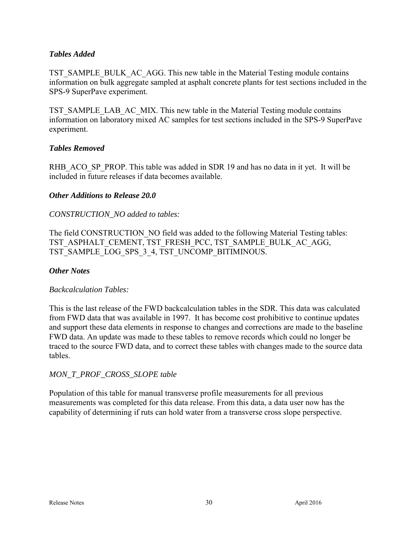### *Tables Added*

TST\_SAMPLE\_BULK\_AC\_AGG. This new table in the Material Testing module contains information on bulk aggregate sampled at asphalt concrete plants for test sections included in the SPS-9 SuperPave experiment.

TST\_SAMPLE\_LAB\_AC\_MIX. This new table in the Material Testing module contains information on laboratory mixed AC samples for test sections included in the SPS-9 SuperPave experiment.

#### *Tables Removed*

RHB\_ACO\_SP\_PROP. This table was added in SDR 19 and has no data in it yet. It will be included in future releases if data becomes available.

#### *Other Additions to Release 20.0*

#### *CONSTRUCTION\_NO added to tables:*

The field CONSTRUCTION\_NO field was added to the following Material Testing tables: TST\_ASPHALT\_CEMENT, TST\_FRESH\_PCC, TST\_SAMPLE\_BULK\_AC\_AGG, TST\_SAMPLE\_LOG\_SPS\_3\_4, TST\_UNCOMP\_BITIMINOUS.

#### *Other Notes*

#### *Backcalculation Tables:*

This is the last release of the FWD backcalculation tables in the SDR. This data was calculated from FWD data that was available in 1997. It has become cost prohibitive to continue updates and support these data elements in response to changes and corrections are made to the baseline FWD data. An update was made to these tables to remove records which could no longer be traced to the source FWD data, and to correct these tables with changes made to the source data tables.

### *MON\_T\_PROF\_CROSS\_SLOPE table*

Population of this table for manual transverse profile measurements for all previous measurements was completed for this data release. From this data, a data user now has the capability of determining if ruts can hold water from a transverse cross slope perspective.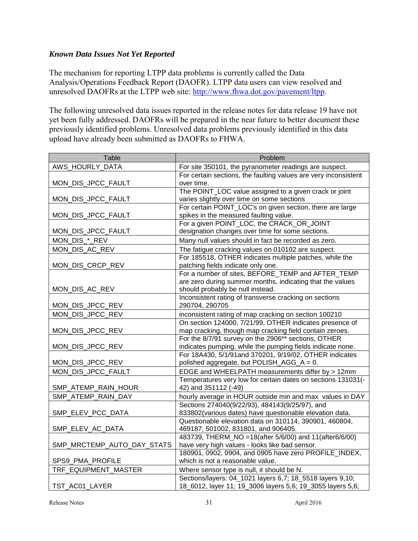### *Known Data Issues Not Yet Reported*

The mechanism for reporting LTPP data problems is currently called the Data Analysis/Operations Feedback Report (DAOFR). LTPP data users can view resolved and unresolved DAOFRs at the LTPP web site: [http://www.fhwa.dot.gov/pavement/ltpp.](http://www.fhwa.dot.gov/pavement/ltpp)

The following unresolved data issues reported in the release notes for data release 19 have not yet been fully addressed. DAOFRs will be prepared in the near future to better document these previously identified problems. Unresolved data problems previously identified in this data upload have already been submitted as DAOFRs to FHWA.

| Table                      | Problem                                                         |
|----------------------------|-----------------------------------------------------------------|
| AWS_HOURLY_DATA            | For site 350101, the pyranometer readings are suspect.          |
|                            | For certain sections, the faulting values are very inconsistent |
| MON_DIS_JPCC_FAULT         | over time.                                                      |
|                            | The POINT_LOC value assigned to a given crack or joint          |
| MON_DIS_JPCC_FAULT         | varies slightly over time on some sections                      |
|                            | For certain POINT_LOC's on given section, there are large       |
| MON_DIS_JPCC_FAULT         | spikes in the measured faulting value.                          |
|                            | For a given POINT_LOC, the CRACK_OR_JOINT                       |
| MON_DIS_JPCC_FAULT         | designation changes over time for some sections.                |
| MON_DIS_*_REV              | Many null values should in fact be recorded as zero.            |
| MON_DIS_AC_REV             | The fatigue cracking values on 010102 are suspect.              |
|                            | For 185518, OTHER indicates multiple patches, while the         |
| MON_DIS_CRCP_REV           | patching fields indicate only one.                              |
|                            | For a number of sites, BEFORE TEMP and AFTER TEMP               |
|                            | are zero during summer months, indicating that the values       |
| MON_DIS_AC_REV             | should probably be null instead.                                |
|                            | Inconsistent rating of transverse cracking on sections          |
| MON_DIS_JPCC_REV           | 290704, 290705                                                  |
| MON_DIS_JPCC_REV           | inconsistent rating of map cracking on section 100210           |
|                            | On section 124000, 7/21/99, OTHER indicates presence of         |
| MON_DIS_JPCC_REV           | map cracking, though map cracking field contain zeroes.         |
|                            | For the 8/7/91 survey on the 2906** sections, OTHER             |
| MON_DIS_JPCC_REV           | indicates pumping, while the pumping fields indicate none.      |
|                            | For 18A430, 5/1/91and 370201, 9/19/02, OTHER indicates          |
| MON_DIS_JPCC_REV           | polished aggregate, but POLISH_AGG_A = 0.                       |
| MON_DIS_JPCC_FAULT         | EDGE and WHEELPATH measurements differ by > 12mm                |
|                            | Temperatures very low for certain dates on sections 131031(-    |
| SMP_ATEMP_RAIN_HOUR        | 42) and 351112 (-49)                                            |
| SMP_ATEMP_RAIN_DAY         | hourly average in HOUR outside min and max values in DAY        |
|                            | Sections 274040(9/22/93), 484143(9/25/97), and                  |
| SMP_ELEV_PCC_DATA          | 833802(various dates) have questionable elevation data.         |
|                            | Questionable elevation data on 310114, 390901, 460804,          |
| SMP_ELEV_AC_DATA           | 469187, 501002, 831801, and 906405.                             |
|                            | 483739, THERM_NO =18(after 5/6/00) and 11(after6/6/00)          |
| SMP_MRCTEMP_AUTO_DAY_STATS | have very high values - looks like bad sensor.                  |
|                            | 180901, 0902, 0904, and 0905 have zero PROFILE_INDEX,           |
| SPS9_PMA_PROFILE           | which is not a reasonable value.                                |
| TRF EQUIPMENT MASTER       | Where sensor type is null, it should be N.                      |
|                            | Sections/layers: 04_1021 layers 6,7; 18_5518 layers 9,10;       |
| TST_AC01_LAYER             | 18_6012, layer 11; 19_3006 layers 5,6; 19_3055 layers 5,6;      |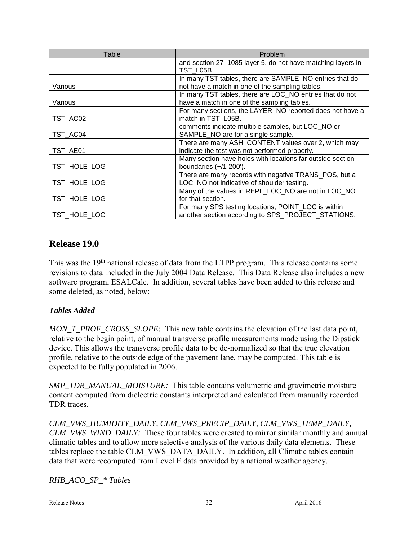| Table        | Problem                                                     |
|--------------|-------------------------------------------------------------|
|              | and section 27_1085 layer 5, do not have matching layers in |
|              | TST L05B                                                    |
|              | In many TST tables, there are SAMPLE_NO entries that do     |
| Various      | not have a match in one of the sampling tables.             |
|              | In many TST tables, there are LOC_NO entries that do not    |
| Various      | have a match in one of the sampling tables.                 |
|              | For many sections, the LAYER_NO reported does not have a    |
| TST_AC02     | match in TST L05B.                                          |
|              | comments indicate multiple samples, but LOC_NO or           |
| TST_AC04     | SAMPLE_NO are for a single sample.                          |
|              | There are many ASH_CONTENT values over 2, which may         |
| TST_AE01     | indicate the test was not performed properly.               |
|              | Many section have holes with locations far outside section  |
| TST HOLE LOG | boundaries $(+/1 200')$ .                                   |
|              | There are many records with negative TRANS_POS, but a       |
| TST HOLE LOG | LOC_NO not indicative of shoulder testing.                  |
|              | Many of the values in REPL_LOC_NO are not in LOC_NO         |
| TST_HOLE_LOG | for that section.                                           |
|              | For many SPS testing locations, POINT_LOC is within         |
| TST_HOLE_LOG | another section according to SPS_PROJECT_STATIONS.          |

### **Release 19.0**

This was the 19<sup>th</sup> national release of data from the LTPP program. This release contains some revisions to data included in the July 2004 Data Release. This Data Release also includes a new software program, ESALCalc. In addition, several tables have been added to this release and some deleted, as noted, below:

### *Tables Added*

*MON\_T\_PROF\_CROSS\_SLOPE:* This new table contains the elevation of the last data point, relative to the begin point, of manual transverse profile measurements made using the Dipstick device. This allows the transverse profile data to be de-normalized so that the true elevation profile, relative to the outside edge of the pavement lane, may be computed. This table is expected to be fully populated in 2006.

*SMP\_TDR\_MANUAL\_MOISTURE:* This table contains volumetric and gravimetric moisture content computed from dielectric constants interpreted and calculated from manually recorded TDR traces.

*CLM\_VWS\_HUMIDITY\_DAILY, CLM\_VWS\_PRECIP\_DAILY, CLM\_VWS\_TEMP\_DAILY, CLM\_VWS\_WIND\_DAILY:* These four tables were created to mirror similar monthly and annual climatic tables and to allow more selective analysis of the various daily data elements. These tables replace the table CLM\_VWS\_DATA\_DAILY. In addition, all Climatic tables contain data that were recomputed from Level E data provided by a national weather agency.

*RHB\_ACO\_SP\_\* Tables*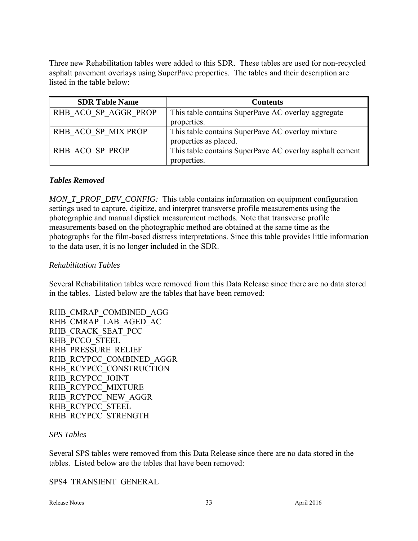Three new Rehabilitation tables were added to this SDR. These tables are used for non-recycled asphalt pavement overlays using SuperPave properties. The tables and their description are listed in the table below:

| <b>SDR Table Name</b> | <b>Contents</b>                                         |
|-----------------------|---------------------------------------------------------|
| RHB ACO SP AGGR PROP  | This table contains SuperPave AC overlay aggregate      |
|                       | properties.                                             |
| RHB ACO SP MIX PROP   | This table contains SuperPave AC overlay mixture        |
|                       | properties as placed.                                   |
| RHB ACO SP PROP       | This table contains SuperPave AC overlay asphalt cement |
|                       | properties.                                             |

#### *Tables Removed*

*MON\_T\_PROF\_DEV\_CONFIG:* This table contains information on equipment configuration settings used to capture, digitize, and interpret transverse profile measurements using the photographic and manual dipstick measurement methods. Note that transverse profile measurements based on the photographic method are obtained at the same time as the photographs for the film-based distress interpretations. Since this table provides little information to the data user, it is no longer included in the SDR.

#### *Rehabilitation Tables*

Several Rehabilitation tables were removed from this Data Release since there are no data stored in the tables. Listed below are the tables that have been removed:

RHB\_CMRAP\_COMBINED\_AGG RHB\_CMRAP\_LAB\_AGED\_AC RHB\_CRACK\_SEAT\_PCC RHB\_PCCO\_STEEL RHB\_PRESSURE\_RELIEF RHB\_RCYPCC\_COMBINED\_AGGR RHB\_RCYPCC\_CONSTRUCTION RHB\_RCYPCC\_JOINT RHB\_RCYPCC\_MIXTURE RHB\_RCYPCC\_NEW\_AGGR RHB\_RCYPCC\_STEEL RHB\_RCYPCC\_STRENGTH

#### *SPS Tables*

Several SPS tables were removed from this Data Release since there are no data stored in the tables. Listed below are the tables that have been removed:

SPS4\_TRANSIENT\_GENERAL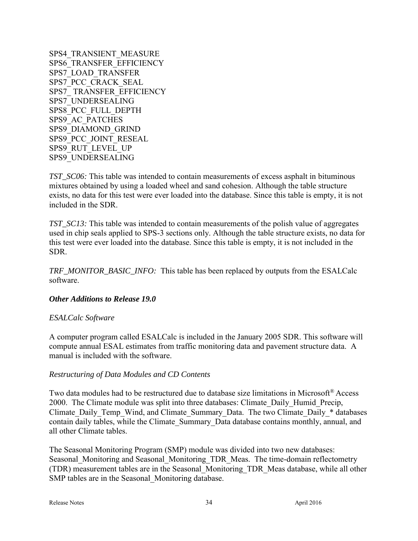SPS4\_TRANSIENT\_MEASURE SPS6\_TRANSFER\_EFFICIENCY SPS7\_LOAD\_TRANSFER SPS7\_PCC\_CRACK\_SEAL SPS7\_ TRANSFER\_EFFICIENCY SPS7\_UNDERSEALING SPS8\_PCC\_FULL\_DEPTH SPS9\_AC\_PATCHES SPS9\_DIAMOND\_GRIND SPS9\_PCC\_JOINT\_RESEAL SPS9\_RUT\_LEVEL\_UP SPS9\_UNDERSEALING

*TST\_SC06:* This table was intended to contain measurements of excess asphalt in bituminous mixtures obtained by using a loaded wheel and sand cohesion. Although the table structure exists, no data for this test were ever loaded into the database. Since this table is empty, it is not included in the SDR.

*TST\_SC13:* This table was intended to contain measurements of the polish value of aggregates used in chip seals applied to SPS-3 sections only. Although the table structure exists, no data for this test were ever loaded into the database. Since this table is empty, it is not included in the SDR.

*TRF\_MONITOR\_BASIC\_INFO:* This table has been replaced by outputs from the ESALCalc software.

#### *Other Additions to Release 19.0*

#### *ESALCalc Software*

A computer program called ESALCalc is included in the January 2005 SDR. This software will compute annual ESAL estimates from traffic monitoring data and pavement structure data. A manual is included with the software.

#### *Restructuring of Data Modules and CD Contents*

Two data modules had to be restructured due to database size limitations in Microsoft<sup>®</sup> Access 2000. The Climate module was split into three databases: Climate\_Daily\_Humid\_Precip, Climate Daily Temp\_Wind, and Climate Summary Data. The two Climate Daily \* databases contain daily tables, while the Climate\_Summary\_Data database contains monthly, annual, and all other Climate tables.

The Seasonal Monitoring Program (SMP) module was divided into two new databases: Seasonal\_Monitoring and Seasonal\_Monitoring\_TDR\_Meas. The time-domain reflectometry (TDR) measurement tables are in the Seasonal\_Monitoring\_TDR\_Meas database, while all other SMP tables are in the Seasonal\_Monitoring database.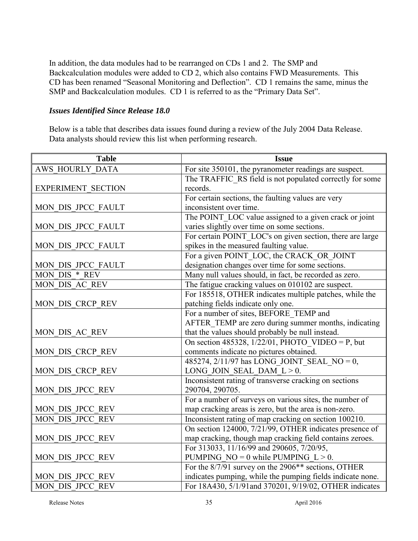In addition, the data modules had to be rearranged on CDs 1 and 2. The SMP and Backcalculation modules were added to CD 2, which also contains FWD Measurements. This CD has been renamed "Seasonal Monitoring and Deflection". CD 1 remains the same, minus the SMP and Backcalculation modules. CD 1 is referred to as the "Primary Data Set".

### *Issues Identified Since Release 18.0*

Below is a table that describes data issues found during a review of the July 2004 Data Release. Data analysts should review this list when performing research.

| <b>Table</b>              | <b>Issue</b>                                               |
|---------------------------|------------------------------------------------------------|
| <b>AWS HOURLY DATA</b>    | For site 350101, the pyranometer readings are suspect.     |
|                           | The TRAFFIC RS field is not populated correctly for some   |
| <b>EXPERIMENT SECTION</b> | records.                                                   |
|                           | For certain sections, the faulting values are very         |
| MON DIS JPCC FAULT        | inconsistent over time.                                    |
|                           | The POINT_LOC value assigned to a given crack or joint     |
| MON DIS JPCC FAULT        | varies slightly over time on some sections.                |
|                           | For certain POINT_LOC's on given section, there are large  |
| MON DIS JPCC FAULT        | spikes in the measured faulting value.                     |
|                           | For a given POINT_LOC, the CRACK_OR_JOINT                  |
| MON DIS JPCC FAULT        | designation changes over time for some sections.           |
| MON_DIS_*_REV             | Many null values should, in fact, be recorded as zero.     |
| MON DIS AC REV            | The fatigue cracking values on 010102 are suspect.         |
|                           | For 185518, OTHER indicates multiple patches, while the    |
| MON DIS CRCP REV          | patching fields indicate only one.                         |
|                           | For a number of sites, BEFORE TEMP and                     |
|                           | AFTER TEMP are zero during summer months, indicating       |
| MON DIS AC REV            | that the values should probably be null instead.           |
|                           | On section 485328, $1/22/01$ , PHOTO_VIDEO = P, but        |
| MON DIS CRCP REV          | comments indicate no pictures obtained.                    |
|                           | 485274, 2/11/97 has LONG_JOINT_SEAL_NO = 0,                |
| MON DIS CRCP REV          | LONG JOIN SEAL DAM $L > 0$ .                               |
|                           | Inconsistent rating of transverse cracking on sections     |
| MON DIS JPCC REV          | 290704, 290705.                                            |
|                           | For a number of surveys on various sites, the number of    |
| MON DIS JPCC REV          | map cracking areas is zero, but the area is non-zero.      |
| <b>MON DIS JPCC REV</b>   | Inconsistent rating of map cracking on section 100210.     |
|                           | On section 124000, 7/21/99, OTHER indicates presence of    |
| MON DIS JPCC REV          | map cracking, though map cracking field contains zeroes.   |
|                           | For 313033, 11/16/99 and 290605, 7/20/95,                  |
| MON DIS JPCC REV          | PUMPING NO = 0 while PUMPING $L > 0$ .                     |
|                           | For the 8/7/91 survey on the 2906** sections, OTHER        |
| MON DIS JPCC REV          | indicates pumping, while the pumping fields indicate none. |
| MON DIS JPCC REV          | For 18A430, 5/1/91and 370201, 9/19/02, OTHER indicates     |

Release Notes 35 April 2016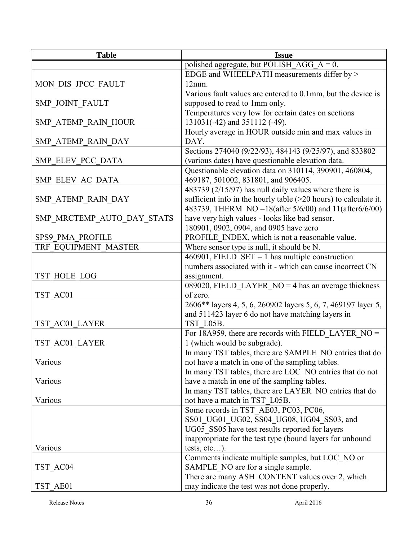| <b>Table</b>               | <b>Issue</b>                                                                                 |
|----------------------------|----------------------------------------------------------------------------------------------|
|                            | polished aggregate, but POLISH_AGG_A = $0$ .                                                 |
|                            | EDGE and WHEELPATH measurements differ by >                                                  |
| MON DIS JPCC FAULT         | $12mm$ .                                                                                     |
|                            | Various fault values are entered to 0.1mm, but the device is                                 |
| <b>SMP JOINT FAULT</b>     | supposed to read to 1mm only.                                                                |
|                            | Temperatures very low for certain dates on sections                                          |
| <b>SMP ATEMP RAIN HOUR</b> | 131031(-42) and 351112 (-49).                                                                |
|                            | Hourly average in HOUR outside min and max values in                                         |
| SMP ATEMP RAIN DAY         | DAY.                                                                                         |
|                            | Sections 274040 (9/22/93), 484143 (9/25/97), and 833802                                      |
| SMP ELEV PCC DATA          | (various dates) have questionable elevation data.                                            |
|                            | Questionable elevation data on 310114, 390901, 460804,                                       |
| SMP ELEV AC DATA           | 469187, 501002, 831801, and 906405.                                                          |
|                            | 483739 (2/15/97) has null daily values where there is                                        |
| SMP ATEMP RAIN DAY         | sufficient info in the hourly table $(>20$ hours) to calculate it.                           |
|                            | 483739, THERM NO = 18(after 5/6/00) and 11(after 6/6/00)                                     |
| SMP MRCTEMP AUTO DAY STATS | have very high values - looks like bad sensor.                                               |
|                            | 180901, 0902, 0904, and 0905 have zero                                                       |
| <b>SPS9 PMA PROFILE</b>    | PROFILE INDEX, which is not a reasonable value.                                              |
| TRF EQUIPMENT MASTER       | Where sensor type is null, it should be N.                                                   |
|                            | 460901, FIELD SET = 1 has multiple construction                                              |
|                            | numbers associated with it - which can cause incorrect CN                                    |
| TST HOLE LOG               | assignment.                                                                                  |
|                            | 089020, FIELD LAYER $NO = 4$ has an average thickness                                        |
| TST AC01                   | of zero.                                                                                     |
|                            | 2606** layers 4, 5, 6, 260902 layers 5, 6, 7, 469197 layer 5,                                |
|                            | and 511423 layer 6 do not have matching layers in                                            |
| TST AC01 LAYER             | TST L05B.                                                                                    |
|                            | For 18A959, there are records with FIELD_LAYER_NO =                                          |
| TST AC01 LAYER             | 1 (which would be subgrade).                                                                 |
|                            | In many TST tables, there are SAMPLE NO entries that do                                      |
| Various                    | not have a match in one of the sampling tables.                                              |
|                            | In many TST tables, there are LOC NO entries that do not                                     |
| Various                    | have a match in one of the sampling tables.                                                  |
|                            | In many TST tables, there are LAYER_NO entries that do                                       |
| Various                    | not have a match in TST L05B.                                                                |
|                            | Some records in TST_AE03, PC03, PC06,                                                        |
|                            | SS01 UG01 UG02, SS04 UG08, UG04 SS03, and<br>UG05 SS05 have test results reported for layers |
|                            | inappropriate for the test type (bound layers for unbound                                    |
| Various                    | tests, $etc$ ).                                                                              |
|                            | Comments indicate multiple samples, but LOC NO or                                            |
| TST AC04                   | SAMPLE_NO are for a single sample.                                                           |
|                            | There are many ASH_CONTENT values over 2, which                                              |
| TST AE01                   | may indicate the test was not done properly.                                                 |
|                            |                                                                                              |

Release Notes 36 April 2016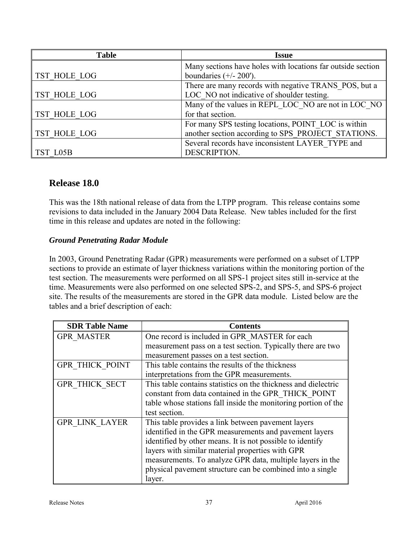| <b>Table</b> | <b>Issue</b>                                                |
|--------------|-------------------------------------------------------------|
|              | Many sections have holes with locations far outside section |
| TST HOLE LOG | boundaries $(+/- 200')$ .                                   |
|              | There are many records with negative TRANS POS, but a       |
| TST HOLE LOG | LOC NO not indicative of shoulder testing.                  |
|              | Many of the values in REPL LOC NO are not in LOC NO         |
| TST HOLE LOG | for that section.                                           |
|              | For many SPS testing locations, POINT LOC is within         |
| TST HOLE LOG | another section according to SPS PROJECT STATIONS.          |
|              | Several records have inconsistent LAYER TYPE and            |
| TST L05B     | DESCRIPTION.                                                |

### **Release 18.0**

This was the 18th national release of data from the LTPP program. This release contains some revisions to data included in the January 2004 Data Release. New tables included for the first time in this release and updates are noted in the following:

### *Ground Penetrating Radar Module*

In 2003, Ground Penetrating Radar (GPR) measurements were performed on a subset of LTPP sections to provide an estimate of layer thickness variations within the monitoring portion of the test section. The measurements were performed on all SPS-1 project sites still in-service at the time. Measurements were also performed on one selected SPS-2, and SPS-5, and SPS-6 project site. The results of the measurements are stored in the GPR data module. Listed below are the tables and a brief description of each:

| <b>SDR Table Name</b>  | <b>Contents</b>                                                |
|------------------------|----------------------------------------------------------------|
| <b>GPR MASTER</b>      | One record is included in GPR MASTER for each                  |
|                        | measurement pass on a test section. Typically there are two    |
|                        | measurement passes on a test section.                          |
| <b>GPR THICK POINT</b> | This table contains the results of the thickness               |
|                        | interpretations from the GPR measurements.                     |
| <b>GPR THICK SECT</b>  | This table contains statistics on the thickness and dielectric |
|                        | constant from data contained in the GPR THICK POINT            |
|                        | table whose stations fall inside the monitoring portion of the |
|                        | test section.                                                  |
| <b>GPR LINK LAYER</b>  | This table provides a link between pavement layers             |
|                        | identified in the GPR measurements and pavement layers         |
|                        | identified by other means. It is not possible to identify      |
|                        | layers with similar material properties with GPR               |
|                        | measurements. To analyze GPR data, multiple layers in the      |
|                        | physical pavement structure can be combined into a single      |
|                        | layer.                                                         |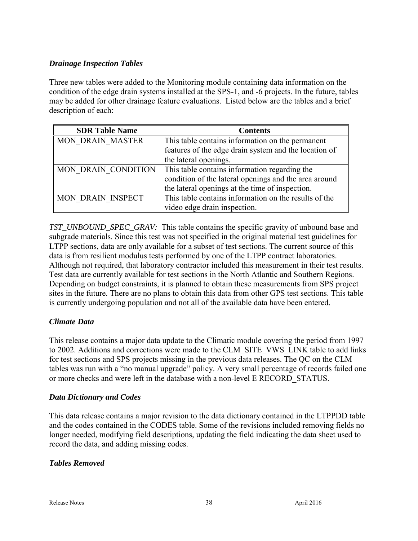### *Drainage Inspection Tables*

Three new tables were added to the Monitoring module containing data information on the condition of the edge drain systems installed at the SPS-1, and -6 projects. In the future, tables may be added for other drainage feature evaluations. Listed below are the tables and a brief description of each:

| <b>SDR Table Name</b>      | <b>Contents</b>                                       |
|----------------------------|-------------------------------------------------------|
| <b>MON DRAIN MASTER</b>    | This table contains information on the permanent      |
|                            | features of the edge drain system and the location of |
|                            | the lateral openings.                                 |
| <b>MON DRAIN CONDITION</b> | This table contains information regarding the         |
|                            | condition of the lateral openings and the area around |
|                            | the lateral openings at the time of inspection.       |
| <b>MON DRAIN INSPECT</b>   | This table contains information on the results of the |
|                            | video edge drain inspection.                          |

*TST\_UNBOUND\_SPEC\_GRAV:* This table contains the specific gravity of unbound base and subgrade materials. Since this test was not specified in the original material test guidelines for LTPP sections, data are only available for a subset of test sections. The current source of this data is from resilient modulus tests performed by one of the LTPP contract laboratories. Although not required, that laboratory contractor included this measurement in their test results. Test data are currently available for test sections in the North Atlantic and Southern Regions. Depending on budget constraints, it is planned to obtain these measurements from SPS project sites in the future. There are no plans to obtain this data from other GPS test sections. This table is currently undergoing population and not all of the available data have been entered.

### *Climate Data*

This release contains a major data update to the Climatic module covering the period from 1997 to 2002. Additions and corrections were made to the CLM\_SITE\_VWS\_LINK table to add links for test sections and SPS projects missing in the previous data releases. The QC on the CLM tables was run with a "no manual upgrade" policy. A very small percentage of records failed one or more checks and were left in the database with a non-level E RECORD\_STATUS.

### *Data Dictionary and Codes*

This data release contains a major revision to the data dictionary contained in the LTPPDD table and the codes contained in the CODES table. Some of the revisions included removing fields no longer needed, modifying field descriptions, updating the field indicating the data sheet used to record the data, and adding missing codes.

### *Tables Removed*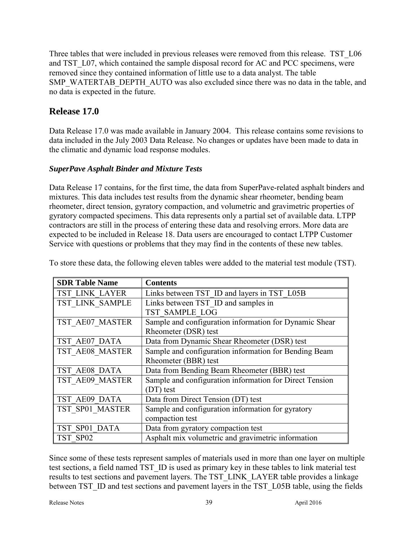Three tables that were included in previous releases were removed from this release. TST L06 and TST L07, which contained the sample disposal record for AC and PCC specimens, were removed since they contained information of little use to a data analyst. The table SMP\_WATERTAB\_DEPTH\_AUTO was also excluded since there was no data in the table, and no data is expected in the future.

# **Release 17.0**

Data Release 17.0 was made available in January 2004. This release contains some revisions to data included in the July 2003 Data Release. No changes or updates have been made to data in the climatic and dynamic load response modules.

### *SuperPave Asphalt Binder and Mixture Tests*

Data Release 17 contains, for the first time, the data from SuperPave-related asphalt binders and mixtures. This data includes test results from the dynamic shear rheometer, bending beam rheometer, direct tension, gyratory compaction, and volumetric and gravimetric properties of gyratory compacted specimens. This data represents only a partial set of available data. LTPP contractors are still in the process of entering these data and resolving errors. More data are expected to be included in Release 18. Data users are encouraged to contact LTPP Customer Service with questions or problems that they may find in the contents of these new tables.

| <b>SDR Table Name</b> | <b>Contents</b>                                         |
|-----------------------|---------------------------------------------------------|
| TST LINK LAYER        | Links between TST ID and layers in TST L05B             |
| TST LINK SAMPLE       | Links between TST ID and samples in                     |
|                       | TST SAMPLE LOG                                          |
| TST AE07 MASTER       | Sample and configuration information for Dynamic Shear  |
|                       | Rheometer (DSR) test                                    |
| TST AE07 DATA         | Data from Dynamic Shear Rheometer (DSR) test            |
| TST AE08 MASTER       | Sample and configuration information for Bending Beam   |
|                       | Rheometer (BBR) test                                    |
| TST AE08 DATA         | Data from Bending Beam Rheometer (BBR) test             |
| TST AE09 MASTER       | Sample and configuration information for Direct Tension |
|                       | (DT) test                                               |
| TST AE09 DATA         | Data from Direct Tension (DT) test                      |
| TST SP01 MASTER       | Sample and configuration information for gyratory       |
|                       | compaction test                                         |
| TST SP01 DATA         | Data from gyratory compaction test                      |
| TST SP02              | Asphalt mix volumetric and gravimetric information      |

To store these data, the following eleven tables were added to the material test module (TST).

Since some of these tests represent samples of materials used in more than one layer on multiple test sections, a field named TST\_ID is used as primary key in these tables to link material test results to test sections and pavement layers. The TST\_LINK\_LAYER table provides a linkage between TST\_ID and test sections and pavement layers in the TST\_L05B table, using the fields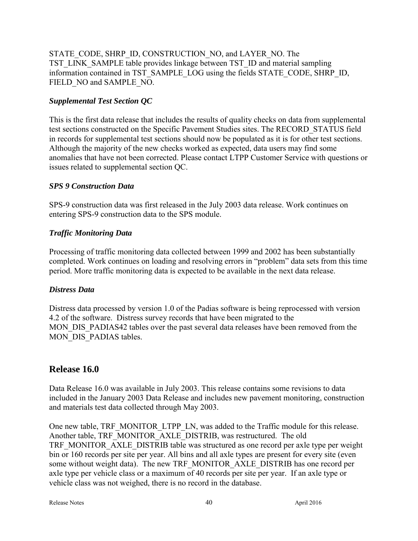STATE\_CODE, SHRP\_ID, CONSTRUCTION\_NO, and LAYER\_NO. The TST\_LINK\_SAMPLE table provides linkage between TST\_ID and material sampling information contained in TST\_SAMPLE\_LOG using the fields STATE\_CODE, SHRP\_ID, FIELD\_NO and SAMPLE\_NO.

### *Supplemental Test Section QC*

This is the first data release that includes the results of quality checks on data from supplemental test sections constructed on the Specific Pavement Studies sites. The RECORD\_STATUS field in records for supplemental test sections should now be populated as it is for other test sections. Although the majority of the new checks worked as expected, data users may find some anomalies that have not been corrected. Please contact LTPP Customer Service with questions or issues related to supplemental section QC.

#### *SPS 9 Construction Data*

SPS-9 construction data was first released in the July 2003 data release. Work continues on entering SPS-9 construction data to the SPS module.

### *Traffic Monitoring Data*

Processing of traffic monitoring data collected between 1999 and 2002 has been substantially completed. Work continues on loading and resolving errors in "problem" data sets from this time period. More traffic monitoring data is expected to be available in the next data release.

### *Distress Data*

Distress data processed by version 1.0 of the Padias software is being reprocessed with version 4.2 of the software. Distress survey records that have been migrated to the MON\_DIS\_PADIAS42 tables over the past several data releases have been removed from the MON DIS PADIAS tables.

### **Release 16.0**

Data Release 16.0 was available in July 2003. This release contains some revisions to data included in the January 2003 Data Release and includes new pavement monitoring, construction and materials test data collected through May 2003.

One new table, TRF\_MONITOR\_LTPP\_LN, was added to the Traffic module for this release. Another table, TRF\_MONITOR\_AXLE\_DISTRIB, was restructured. The old TRF\_MONITOR\_AXLE\_DISTRIB table was structured as one record per axle type per weight bin or 160 records per site per year. All bins and all axle types are present for every site (even some without weight data). The new TRF\_MONITOR\_AXLE\_DISTRIB has one record per axle type per vehicle class or a maximum of 40 records per site per year. If an axle type or vehicle class was not weighed, there is no record in the database.